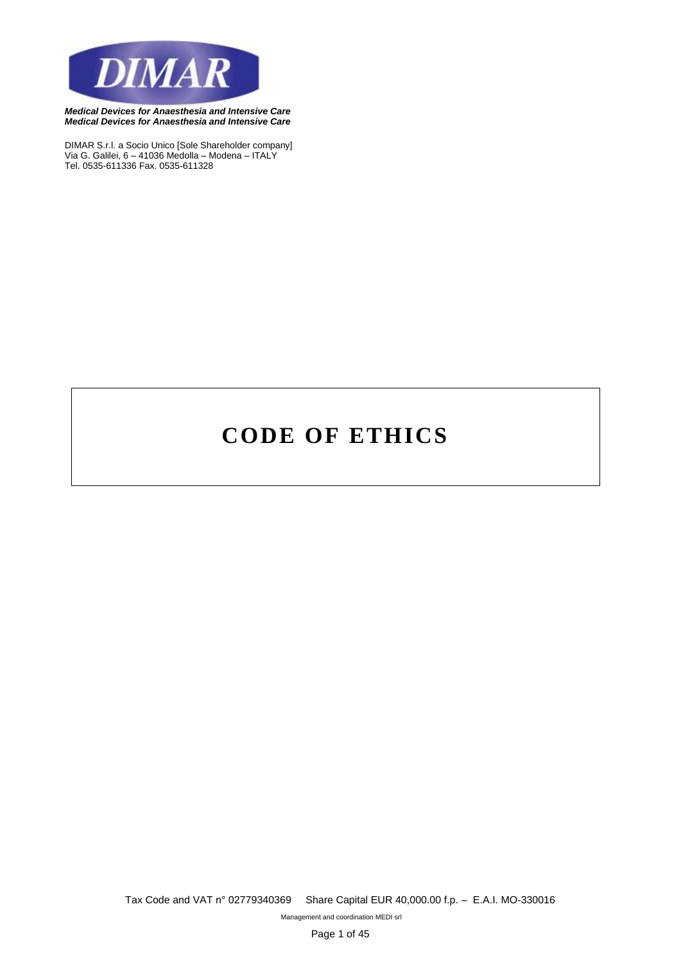

*DIMAR S.r.l. a Socio Unico [Sole Shareholder company] Via G. Galilei, 6 – 41036 Medolla – Modena – ITALY Tel. 0535-611336 Fax. 0535-611328*

# **CODE OF ETHICS**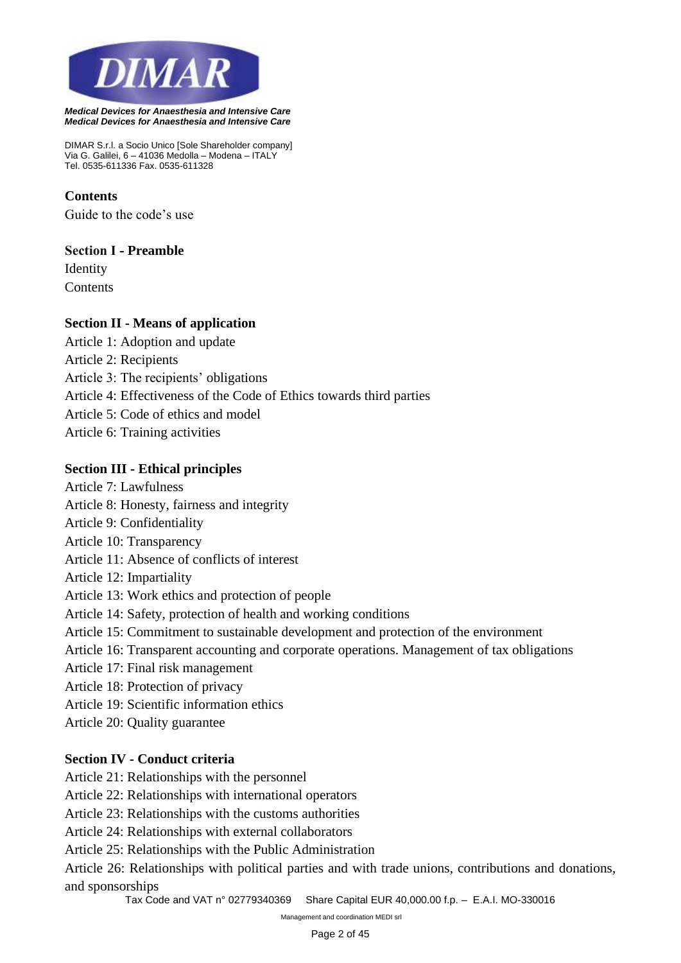

*DIMAR S.r.l. a Socio Unico [Sole Shareholder company] Via G. Galilei, 6 – 41036 Medolla – Modena – ITALY Tel. 0535-611336 Fax. 0535-611328*

## **Contents**

Guide to the code's use

#### **Section I - Preamble**

Identity **Contents** 

#### **Section II - Means of application**

- Article 1: Adoption and update
- Article 2: Recipients
- Article 3: The recipients' obligations
- Article 4: Effectiveness of the Code of Ethics towards third parties
- Article 5: Code of ethics and model
- Article 6: Training activities

#### **Section III - Ethical principles**

- Article 7: Lawfulness
- Article 8: Honesty, fairness and integrity
- Article 9: Confidentiality
- Article 10: Transparency
- Article 11: Absence of conflicts of interest
- Article 12: Impartiality
- Article 13: Work ethics and protection of people
- Article 14: Safety, protection of health and working conditions
- Article 15: Commitment to sustainable development and protection of the environment
- Article 16: Transparent accounting and corporate operations. Management of tax obligations
- Article 17: Final risk management
- Article 18: Protection of privacy
- Article 19: Scientific information ethics
- Article 20: Quality guarantee

## **Section IV - Conduct criteria**

- Article 21: Relationships with the personnel
- Article 22: Relationships with international operators
- Article 23: Relationships with the customs authorities
- Article 24: Relationships with external collaborators
- Article 25: Relationships with the Public Administration

Article 26: Relationships with political parties and with trade unions, contributions and donations, and sponsorships

*Tax Code and VAT n° 02779340369 Share Capital EUR 40,000.00 f.p. – E.A.I. MO-330016*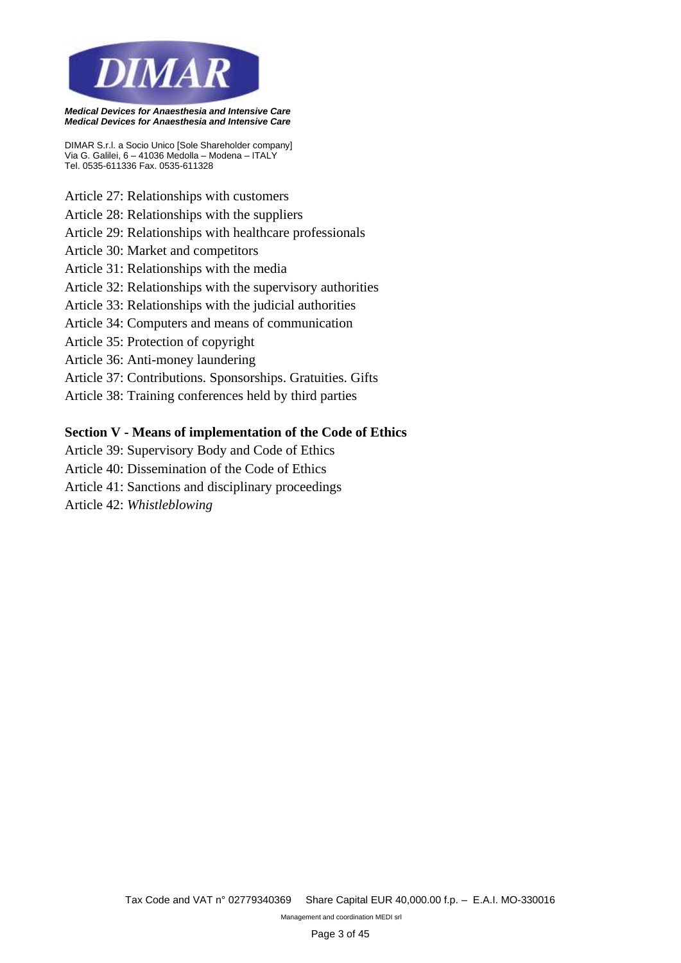

*DIMAR S.r.l. a Socio Unico [Sole Shareholder company] Via G. Galilei, 6 – 41036 Medolla – Modena – ITALY Tel. 0535-611336 Fax. 0535-611328*

- Article 27: Relationships with customers
- Article 28: Relationships with the suppliers
- Article 29: Relationships with healthcare professionals
- Article 30: Market and competitors
- Article 31: Relationships with the media
- Article 32: Relationships with the supervisory authorities
- Article 33: Relationships with the judicial authorities
- Article 34: Computers and means of communication
- Article 35: Protection of copyright
- Article 36: Anti-money laundering
- Article 37: Contributions. Sponsorships. Gratuities. Gifts
- Article 38: Training conferences held by third parties

#### **Section V - Means of implementation of the Code of Ethics**

- Article 39: Supervisory Body and Code of Ethics
- Article 40: Dissemination of the Code of Ethics
- Article 41: Sanctions and disciplinary proceedings

Article 42: *Whistleblowing*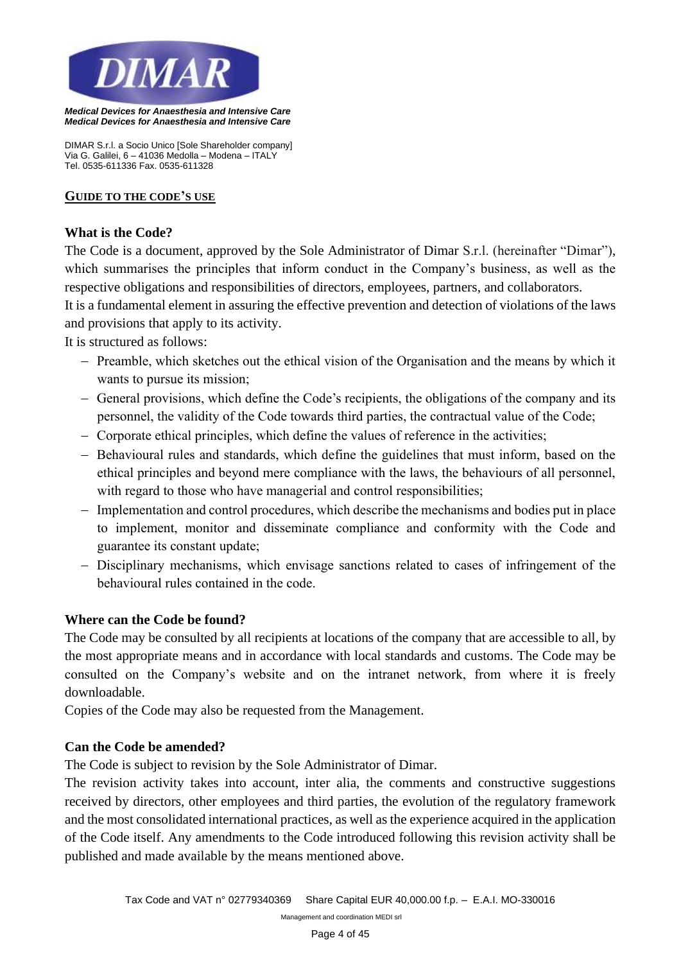

*DIMAR S.r.l. a Socio Unico [Sole Shareholder company] Via G. Galilei, 6 – 41036 Medolla – Modena – ITALY Tel. 0535-611336 Fax. 0535-611328*

#### **GUIDE TO THE CODE'S USE**

#### **What is the Code?**

The Code is a document, approved by the Sole Administrator of Dimar S.r.l. (hereinafter "Dimar"), which summarises the principles that inform conduct in the Company's business, as well as the respective obligations and responsibilities of directors, employees, partners, and collaborators.

It is a fundamental element in assuring the effective prevention and detection of violations of the laws and provisions that apply to its activity.

It is structured as follows:

- − Preamble, which sketches out the ethical vision of the Organisation and the means by which it wants to pursue its mission;
- − General provisions, which define the Code's recipients, the obligations of the company and its personnel, the validity of the Code towards third parties, the contractual value of the Code;
- − Corporate ethical principles, which define the values of reference in the activities;
- − Behavioural rules and standards, which define the guidelines that must inform, based on the ethical principles and beyond mere compliance with the laws, the behaviours of all personnel, with regard to those who have managerial and control responsibilities;
- − Implementation and control procedures, which describe the mechanisms and bodies put in place to implement, monitor and disseminate compliance and conformity with the Code and guarantee its constant update;
- − Disciplinary mechanisms, which envisage sanctions related to cases of infringement of the behavioural rules contained in the code.

## **Where can the Code be found?**

The Code may be consulted by all recipients at locations of the company that are accessible to all, by the most appropriate means and in accordance with local standards and customs. The Code may be consulted on the Company's website and on the intranet network, from where it is freely downloadable.

Copies of the Code may also be requested from the Management.

#### **Can the Code be amended?**

The Code is subject to revision by the Sole Administrator of Dimar.

The revision activity takes into account, inter alia, the comments and constructive suggestions received by directors, other employees and third parties, the evolution of the regulatory framework and the most consolidated international practices, as well as the experience acquired in the application of the Code itself. Any amendments to the Code introduced following this revision activity shall be published and made available by the means mentioned above.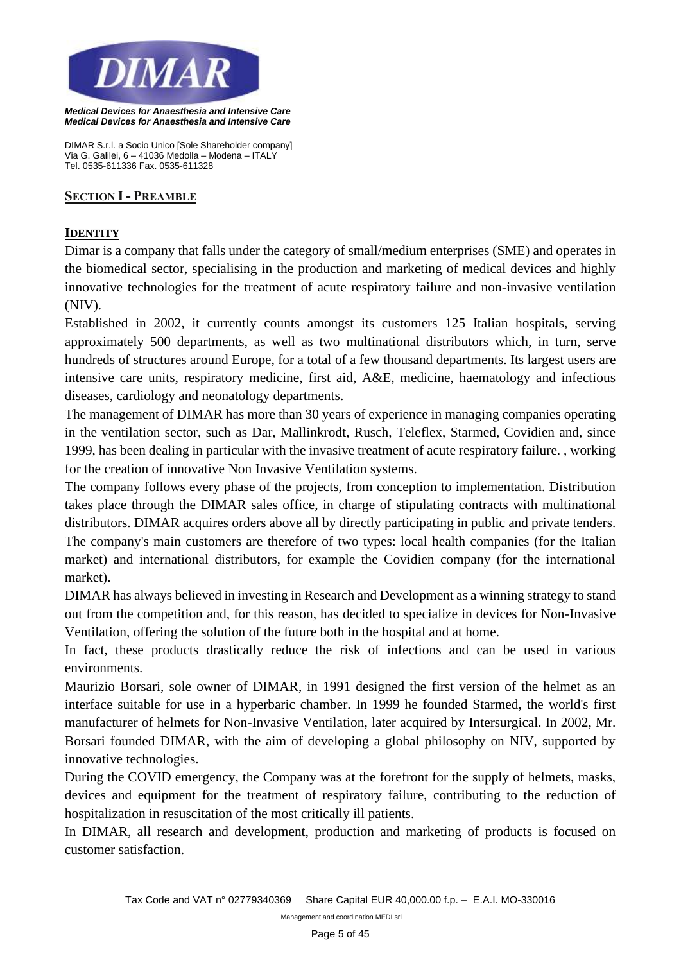

*DIMAR S.r.l. a Socio Unico [Sole Shareholder company] Via G. Galilei, 6 – 41036 Medolla – Modena – ITALY Tel. 0535-611336 Fax. 0535-611328*

#### **SECTION I - PREAMBLE**

#### **IDENTITY**

Dimar is a company that falls under the category of small/medium enterprises (SME) and operates in the biomedical sector, specialising in the production and marketing of medical devices and highly innovative technologies for the treatment of acute respiratory failure and non-invasive ventilation (NIV).

Established in 2002, it currently counts amongst its customers 125 Italian hospitals, serving approximately 500 departments, as well as two multinational distributors which, in turn, serve hundreds of structures around Europe, for a total of a few thousand departments. Its largest users are intensive care units, respiratory medicine, first aid, A&E, medicine, haematology and infectious diseases, cardiology and neonatology departments.

The management of DIMAR has more than 30 years of experience in managing companies operating in the ventilation sector, such as Dar, Mallinkrodt, Rusch, Teleflex, Starmed, Covidien and, since 1999, has been dealing in particular with the invasive treatment of acute respiratory failure. , working for the creation of innovative Non Invasive Ventilation systems.

The company follows every phase of the projects, from conception to implementation. Distribution takes place through the DIMAR sales office, in charge of stipulating contracts with multinational distributors. DIMAR acquires orders above all by directly participating in public and private tenders. The company's main customers are therefore of two types: local health companies (for the Italian market) and international distributors, for example the Covidien company (for the international market).

DIMAR has always believed in investing in Research and Development as a winning strategy to stand out from the competition and, for this reason, has decided to specialize in devices for Non-Invasive Ventilation, offering the solution of the future both in the hospital and at home.

In fact, these products drastically reduce the risk of infections and can be used in various environments.

Maurizio Borsari, sole owner of DIMAR, in 1991 designed the first version of the helmet as an interface suitable for use in a hyperbaric chamber. In 1999 he founded Starmed, the world's first manufacturer of helmets for Non-Invasive Ventilation, later acquired by Intersurgical. In 2002, Mr. Borsari founded DIMAR, with the aim of developing a global philosophy on NIV, supported by innovative technologies.

During the COVID emergency, the Company was at the forefront for the supply of helmets, masks, devices and equipment for the treatment of respiratory failure, contributing to the reduction of hospitalization in resuscitation of the most critically ill patients.

In DIMAR, all research and development, production and marketing of products is focused on customer satisfaction.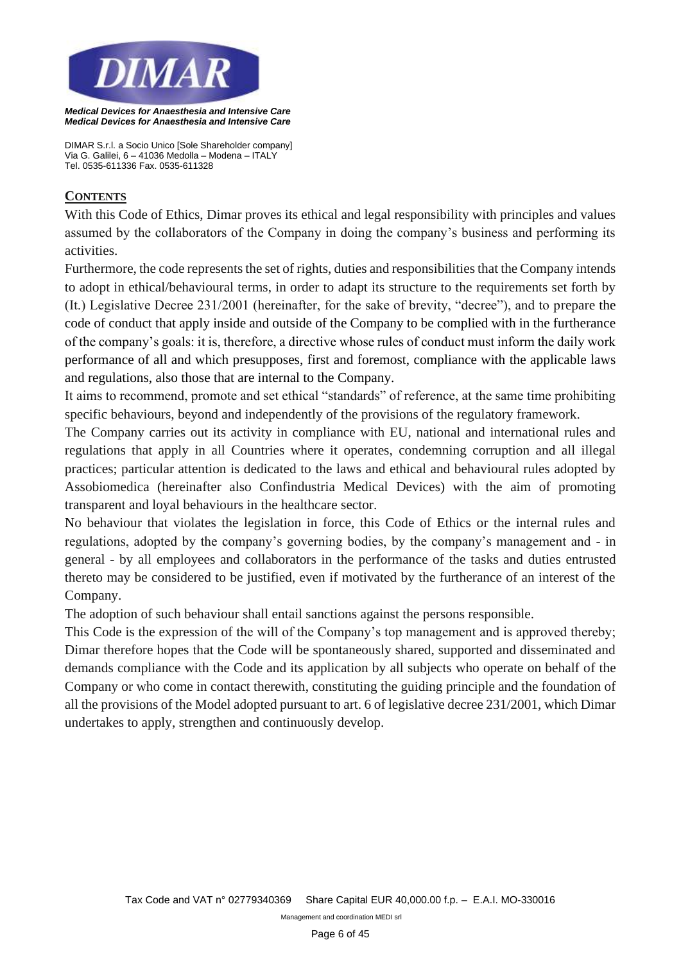

*DIMAR S.r.l. a Socio Unico [Sole Shareholder company] Via G. Galilei, 6 – 41036 Medolla – Modena – ITALY Tel. 0535-611336 Fax. 0535-611328*

## **CONTENTS**

With this Code of Ethics, Dimar proves its ethical and legal responsibility with principles and values assumed by the collaborators of the Company in doing the company's business and performing its activities.

Furthermore, the code represents the set of rights, duties and responsibilities that the Company intends to adopt in ethical/behavioural terms, in order to adapt its structure to the requirements set forth by (It.) Legislative Decree 231/2001 (hereinafter, for the sake of brevity, "decree"), and to prepare the code of conduct that apply inside and outside of the Company to be complied with in the furtherance of the company's goals: it is, therefore, a directive whose rules of conduct must inform the daily work performance of all and which presupposes, first and foremost, compliance with the applicable laws and regulations, also those that are internal to the Company.

It aims to recommend, promote and set ethical "standards" of reference, at the same time prohibiting specific behaviours, beyond and independently of the provisions of the regulatory framework.

The Company carries out its activity in compliance with EU, national and international rules and regulations that apply in all Countries where it operates, condemning corruption and all illegal practices; particular attention is dedicated to the laws and ethical and behavioural rules adopted by Assobiomedica (hereinafter also Confindustria Medical Devices) with the aim of promoting transparent and loyal behaviours in the healthcare sector.

No behaviour that violates the legislation in force, this Code of Ethics or the internal rules and regulations, adopted by the company's governing bodies, by the company's management and - in general - by all employees and collaborators in the performance of the tasks and duties entrusted thereto may be considered to be justified, even if motivated by the furtherance of an interest of the Company.

The adoption of such behaviour shall entail sanctions against the persons responsible.

This Code is the expression of the will of the Company's top management and is approved thereby; Dimar therefore hopes that the Code will be spontaneously shared, supported and disseminated and demands compliance with the Code and its application by all subjects who operate on behalf of the Company or who come in contact therewith, constituting the guiding principle and the foundation of all the provisions of the Model adopted pursuant to art. 6 of legislative decree 231/2001, which Dimar undertakes to apply, strengthen and continuously develop.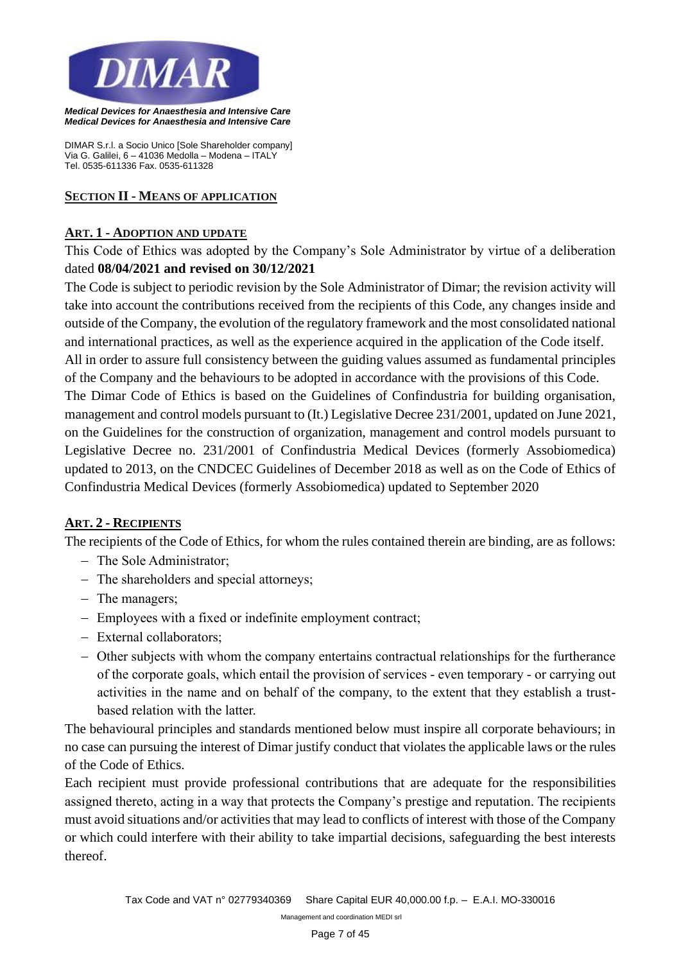

*DIMAR S.r.l. a Socio Unico [Sole Shareholder company] Via G. Galilei, 6 – 41036 Medolla – Modena – ITALY Tel. 0535-611336 Fax. 0535-611328*

#### **SECTION II - MEANS OF APPLICATION**

#### **ART. 1 - ADOPTION AND UPDATE**

This Code of Ethics was adopted by the Company's Sole Administrator by virtue of a deliberation dated **08/04/2021 and revised on 30/12/2021**

The Code is subject to periodic revision by the Sole Administrator of Dimar; the revision activity will take into account the contributions received from the recipients of this Code, any changes inside and outside of the Company, the evolution of the regulatory framework and the most consolidated national and international practices, as well as the experience acquired in the application of the Code itself. All in order to assure full consistency between the guiding values assumed as fundamental principles of the Company and the behaviours to be adopted in accordance with the provisions of this Code. The Dimar Code of Ethics is based on the Guidelines of Confindustria for building organisation, management and control models pursuant to (It.) Legislative Decree 231/2001, updated on June 2021, on the Guidelines for the construction of organization, management and control models pursuant to Legislative Decree no. 231/2001 of Confindustria Medical Devices (formerly Assobiomedica) updated to 2013, on the CNDCEC Guidelines of December 2018 as well as on the Code of Ethics of Confindustria Medical Devices (formerly Assobiomedica) updated to September 2020

## **ART. 2 - RECIPIENTS**

The recipients of the Code of Ethics, for whom the rules contained therein are binding, are as follows:

- − The Sole Administrator;
- − The shareholders and special attorneys;
- − The managers;
- − Employees with a fixed or indefinite employment contract;
- − External collaborators;
- − Other subjects with whom the company entertains contractual relationships for the furtherance of the corporate goals, which entail the provision of services - even temporary - or carrying out activities in the name and on behalf of the company, to the extent that they establish a trustbased relation with the latter.

The behavioural principles and standards mentioned below must inspire all corporate behaviours; in no case can pursuing the interest of Dimar justify conduct that violates the applicable laws or the rules of the Code of Ethics.

Each recipient must provide professional contributions that are adequate for the responsibilities assigned thereto, acting in a way that protects the Company's prestige and reputation. The recipients must avoid situations and/or activities that may lead to conflicts of interest with those of the Company or which could interfere with their ability to take impartial decisions, safeguarding the best interests thereof.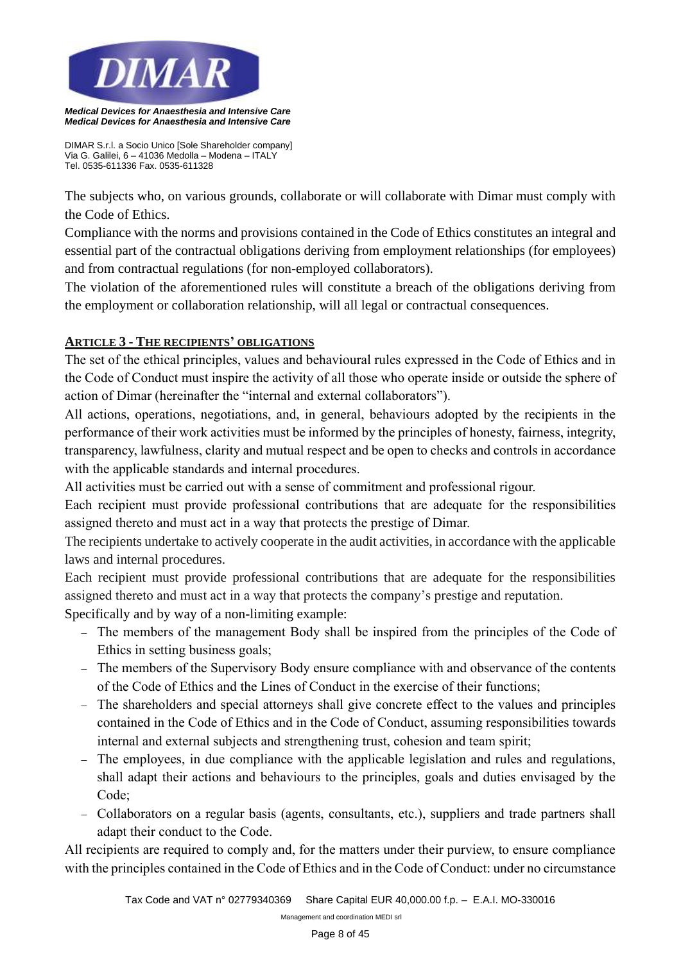

*DIMAR S.r.l. a Socio Unico [Sole Shareholder company] Via G. Galilei, 6 – 41036 Medolla – Modena – ITALY Tel. 0535-611336 Fax. 0535-611328*

The subjects who, on various grounds, collaborate or will collaborate with Dimar must comply with the Code of Ethics.

Compliance with the norms and provisions contained in the Code of Ethics constitutes an integral and essential part of the contractual obligations deriving from employment relationships (for employees) and from contractual regulations (for non-employed collaborators).

The violation of the aforementioned rules will constitute a breach of the obligations deriving from the employment or collaboration relationship, will all legal or contractual consequences.

# **ARTICLE 3 - THE RECIPIENTS' OBLIGATIONS**

The set of the ethical principles, values and behavioural rules expressed in the Code of Ethics and in the Code of Conduct must inspire the activity of all those who operate inside or outside the sphere of action of Dimar (hereinafter the "internal and external collaborators").

All actions, operations, negotiations, and, in general, behaviours adopted by the recipients in the performance of their work activities must be informed by the principles of honesty, fairness, integrity, transparency, lawfulness, clarity and mutual respect and be open to checks and controls in accordance with the applicable standards and internal procedures.

All activities must be carried out with a sense of commitment and professional rigour.

Each recipient must provide professional contributions that are adequate for the responsibilities assigned thereto and must act in a way that protects the prestige of Dimar.

The recipients undertake to actively cooperate in the audit activities, in accordance with the applicable laws and internal procedures.

Each recipient must provide professional contributions that are adequate for the responsibilities assigned thereto and must act in a way that protects the company's prestige and reputation.

Specifically and by way of a non-limiting example:

- − The members of the management Body shall be inspired from the principles of the Code of Ethics in setting business goals;
- − The members of the Supervisory Body ensure compliance with and observance of the contents of the Code of Ethics and the Lines of Conduct in the exercise of their functions;
- − The shareholders and special attorneys shall give concrete effect to the values and principles contained in the Code of Ethics and in the Code of Conduct, assuming responsibilities towards internal and external subjects and strengthening trust, cohesion and team spirit;
- − The employees, in due compliance with the applicable legislation and rules and regulations, shall adapt their actions and behaviours to the principles, goals and duties envisaged by the Code;
- − Collaborators on a regular basis (agents, consultants, etc.), suppliers and trade partners shall adapt their conduct to the Code.

All recipients are required to comply and, for the matters under their purview, to ensure compliance with the principles contained in the Code of Ethics and in the Code of Conduct: under no circumstance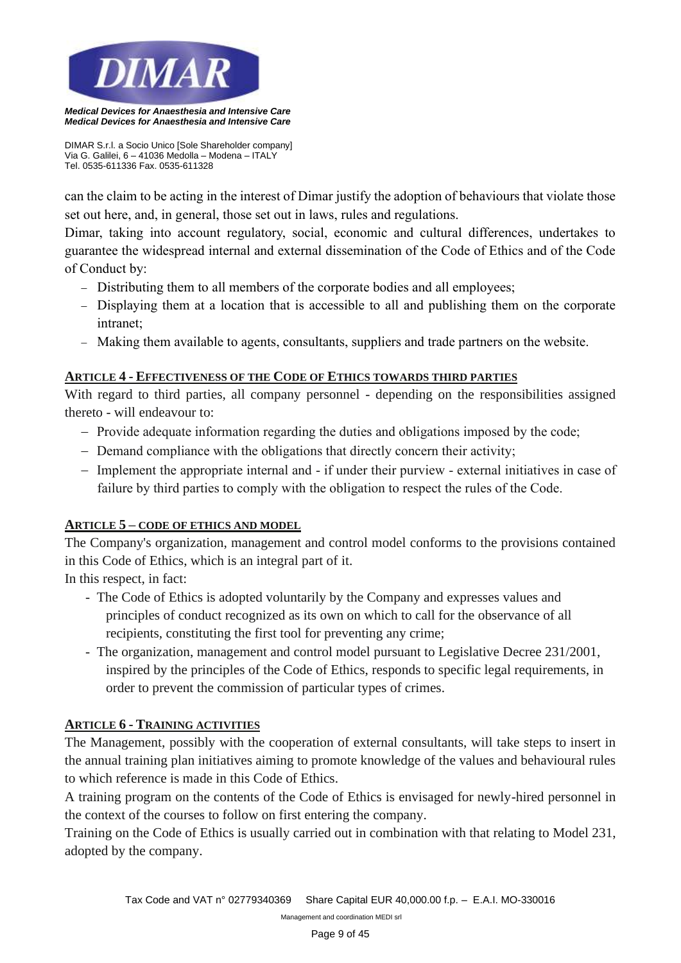

*DIMAR S.r.l. a Socio Unico [Sole Shareholder company] Via G. Galilei, 6 – 41036 Medolla – Modena – ITALY Tel. 0535-611336 Fax. 0535-611328*

can the claim to be acting in the interest of Dimar justify the adoption of behaviours that violate those set out here, and, in general, those set out in laws, rules and regulations.

Dimar, taking into account regulatory, social, economic and cultural differences, undertakes to guarantee the widespread internal and external dissemination of the Code of Ethics and of the Code of Conduct by:

- − Distributing them to all members of the corporate bodies and all employees;
- − Displaying them at a location that is accessible to all and publishing them on the corporate intranet;
- − Making them available to agents, consultants, suppliers and trade partners on the website.

## **ARTICLE 4 - EFFECTIVENESS OF THE CODE OF ETHICS TOWARDS THIRD PARTIES**

With regard to third parties, all company personnel - depending on the responsibilities assigned thereto - will endeavour to:

- − Provide adequate information regarding the duties and obligations imposed by the code;
- − Demand compliance with the obligations that directly concern their activity;
- − Implement the appropriate internal and if under their purview external initiatives in case of failure by third parties to comply with the obligation to respect the rules of the Code.

## **ARTICLE 5 – CODE OF ETHICS AND MODEL**

The Company's organization, management and control model conforms to the provisions contained in this Code of Ethics, which is an integral part of it.

In this respect, in fact:

- The Code of Ethics is adopted voluntarily by the Company and expresses values and principles of conduct recognized as its own on which to call for the observance of all recipients, constituting the first tool for preventing any crime;
- The organization, management and control model pursuant to Legislative Decree 231/2001, inspired by the principles of the Code of Ethics, responds to specific legal requirements, in order to prevent the commission of particular types of crimes.

## **ARTICLE 6 - TRAINING ACTIVITIES**

The Management, possibly with the cooperation of external consultants, will take steps to insert in the annual training plan initiatives aiming to promote knowledge of the values and behavioural rules to which reference is made in this Code of Ethics.

A training program on the contents of the Code of Ethics is envisaged for newly-hired personnel in the context of the courses to follow on first entering the company.

Training on the Code of Ethics is usually carried out in combination with that relating to Model 231, adopted by the company.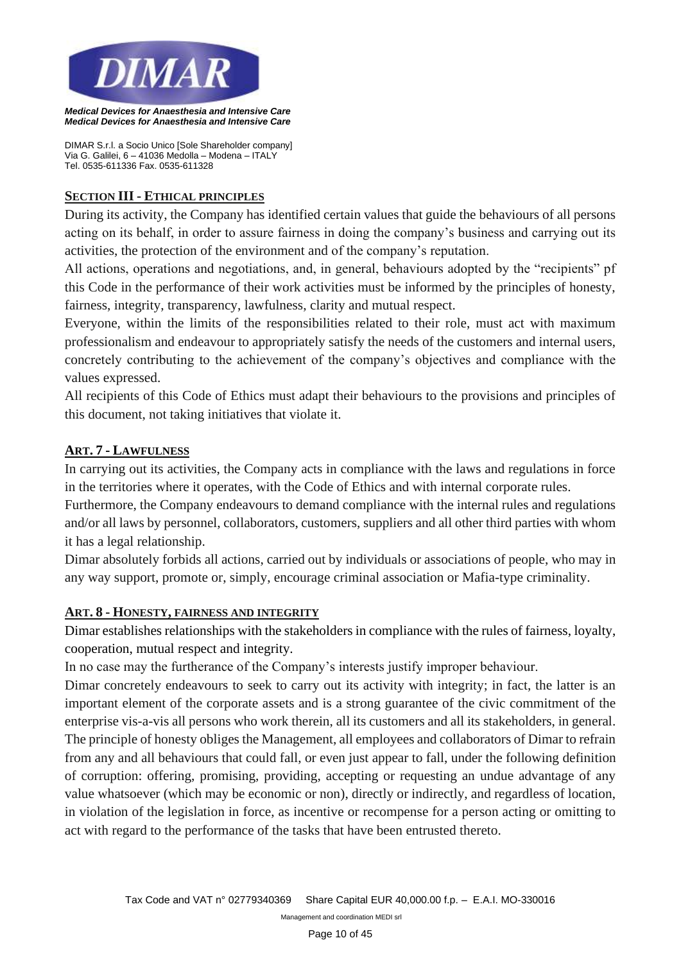

*DIMAR S.r.l. a Socio Unico [Sole Shareholder company] Via G. Galilei, 6 – 41036 Medolla – Modena – ITALY Tel. 0535-611336 Fax. 0535-611328*

#### **SECTION III - ETHICAL PRINCIPLES**

During its activity, the Company has identified certain values that guide the behaviours of all persons acting on its behalf, in order to assure fairness in doing the company's business and carrying out its activities, the protection of the environment and of the company's reputation.

All actions, operations and negotiations, and, in general, behaviours adopted by the "recipients" pf this Code in the performance of their work activities must be informed by the principles of honesty, fairness, integrity, transparency, lawfulness, clarity and mutual respect.

Everyone, within the limits of the responsibilities related to their role, must act with maximum professionalism and endeavour to appropriately satisfy the needs of the customers and internal users, concretely contributing to the achievement of the company's objectives and compliance with the values expressed.

All recipients of this Code of Ethics must adapt their behaviours to the provisions and principles of this document, not taking initiatives that violate it.

#### **ART. 7 - LAWFULNESS**

In carrying out its activities, the Company acts in compliance with the laws and regulations in force in the territories where it operates, with the Code of Ethics and with internal corporate rules.

Furthermore, the Company endeavours to demand compliance with the internal rules and regulations and/or all laws by personnel, collaborators, customers, suppliers and all other third parties with whom it has a legal relationship.

Dimar absolutely forbids all actions, carried out by individuals or associations of people, who may in any way support, promote or, simply, encourage criminal association or Mafia-type criminality.

#### **ART. 8 - HONESTY, FAIRNESS AND INTEGRITY**

Dimar establishes relationships with the stakeholders in compliance with the rules of fairness, loyalty, cooperation, mutual respect and integrity.

In no case may the furtherance of the Company's interests justify improper behaviour.

Dimar concretely endeavours to seek to carry out its activity with integrity; in fact, the latter is an important element of the corporate assets and is a strong guarantee of the civic commitment of the enterprise vis-a-vis all persons who work therein, all its customers and all its stakeholders, in general. The principle of honesty obliges the Management, all employees and collaborators of Dimar to refrain from any and all behaviours that could fall, or even just appear to fall, under the following definition of corruption: offering, promising, providing, accepting or requesting an undue advantage of any value whatsoever (which may be economic or non), directly or indirectly, and regardless of location, in violation of the legislation in force, as incentive or recompense for a person acting or omitting to act with regard to the performance of the tasks that have been entrusted thereto.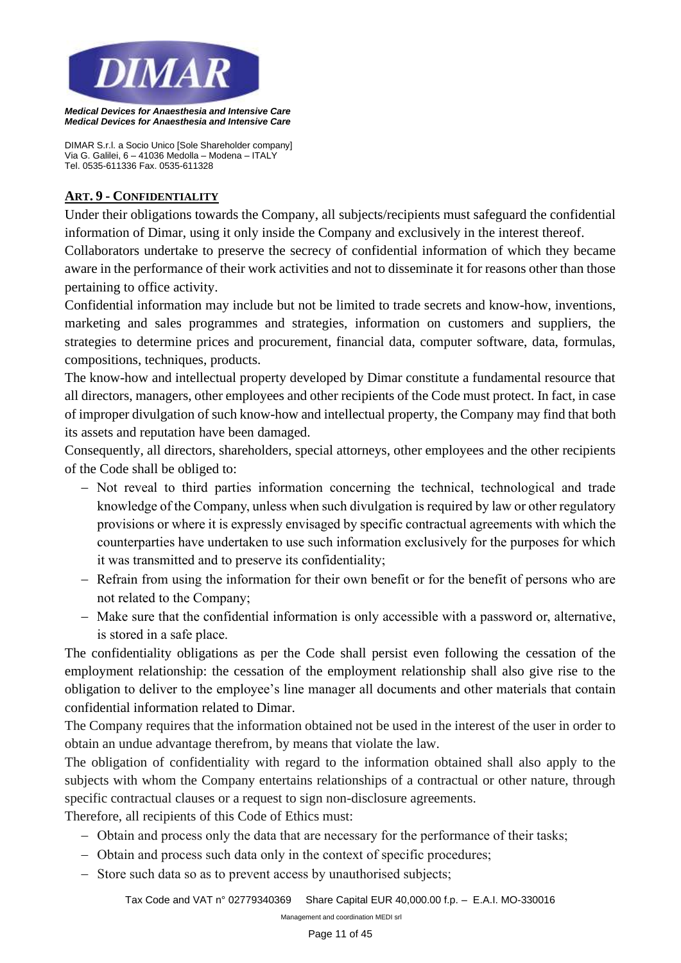

*DIMAR S.r.l. a Socio Unico [Sole Shareholder company] Via G. Galilei, 6 – 41036 Medolla – Modena – ITALY Tel. 0535-611336 Fax. 0535-611328*

#### **ART. 9 - CONFIDENTIALITY**

Under their obligations towards the Company, all subjects/recipients must safeguard the confidential information of Dimar, using it only inside the Company and exclusively in the interest thereof.

Collaborators undertake to preserve the secrecy of confidential information of which they became aware in the performance of their work activities and not to disseminate it for reasons other than those pertaining to office activity.

Confidential information may include but not be limited to trade secrets and know-how, inventions, marketing and sales programmes and strategies, information on customers and suppliers, the strategies to determine prices and procurement, financial data, computer software, data, formulas, compositions, techniques, products.

The know-how and intellectual property developed by Dimar constitute a fundamental resource that all directors, managers, other employees and other recipients of the Code must protect. In fact, in case of improper divulgation of such know-how and intellectual property, the Company may find that both its assets and reputation have been damaged.

Consequently, all directors, shareholders, special attorneys, other employees and the other recipients of the Code shall be obliged to:

- − Not reveal to third parties information concerning the technical, technological and trade knowledge of the Company, unless when such divulgation is required by law or other regulatory provisions or where it is expressly envisaged by specific contractual agreements with which the counterparties have undertaken to use such information exclusively for the purposes for which it was transmitted and to preserve its confidentiality;
- − Refrain from using the information for their own benefit or for the benefit of persons who are not related to the Company;
- − Make sure that the confidential information is only accessible with a password or, alternative, is stored in a safe place.

The confidentiality obligations as per the Code shall persist even following the cessation of the employment relationship: the cessation of the employment relationship shall also give rise to the obligation to deliver to the employee's line manager all documents and other materials that contain confidential information related to Dimar.

The Company requires that the information obtained not be used in the interest of the user in order to obtain an undue advantage therefrom, by means that violate the law.

The obligation of confidentiality with regard to the information obtained shall also apply to the subjects with whom the Company entertains relationships of a contractual or other nature, through specific contractual clauses or a request to sign non-disclosure agreements.

Therefore, all recipients of this Code of Ethics must:

- − Obtain and process only the data that are necessary for the performance of their tasks;
- − Obtain and process such data only in the context of specific procedures;
- − Store such data so as to prevent access by unauthorised subjects;

*Tax Code and VAT n° 02779340369 Share Capital EUR 40,000.00 f.p. – E.A.I. MO-330016*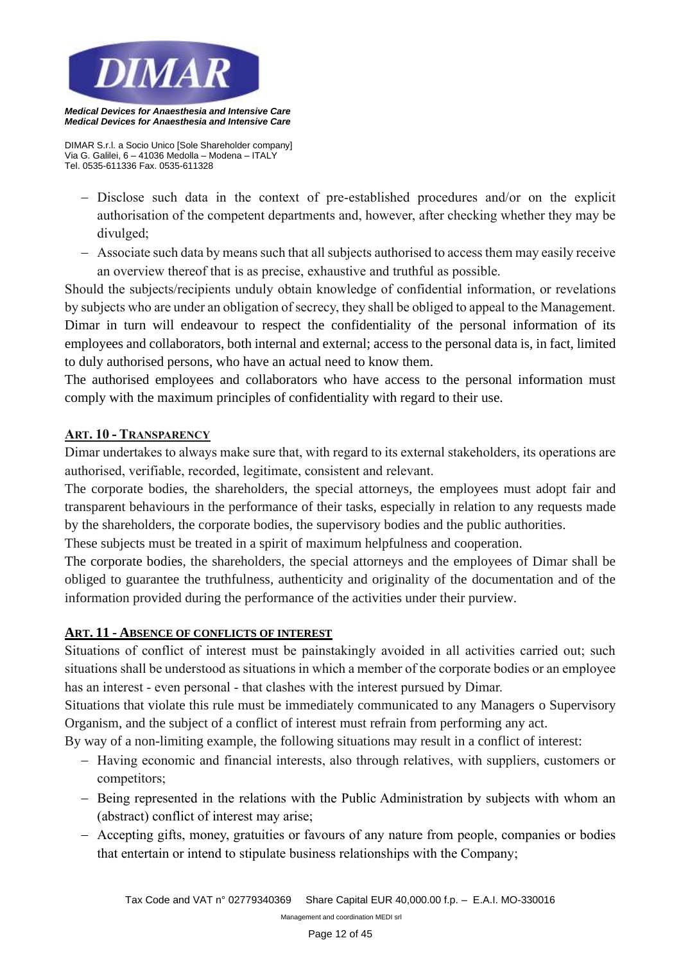

*DIMAR S.r.l. a Socio Unico [Sole Shareholder company] Via G. Galilei, 6 – 41036 Medolla – Modena – ITALY Tel. 0535-611336 Fax. 0535-611328*

- − Disclose such data in the context of pre-established procedures and/or on the explicit authorisation of the competent departments and, however, after checking whether they may be divulged;
- − Associate such data by means such that all subjects authorised to access them may easily receive an overview thereof that is as precise, exhaustive and truthful as possible.

Should the subjects/recipients unduly obtain knowledge of confidential information, or revelations by subjects who are under an obligation of secrecy, they shall be obliged to appeal to the Management. Dimar in turn will endeavour to respect the confidentiality of the personal information of its employees and collaborators, both internal and external; access to the personal data is, in fact, limited to duly authorised persons, who have an actual need to know them.

The authorised employees and collaborators who have access to the personal information must comply with the maximum principles of confidentiality with regard to their use.

## **ART. 10 - TRANSPARENCY**

Dimar undertakes to always make sure that, with regard to its external stakeholders, its operations are authorised, verifiable, recorded, legitimate, consistent and relevant.

The corporate bodies, the shareholders, the special attorneys, the employees must adopt fair and transparent behaviours in the performance of their tasks, especially in relation to any requests made by the shareholders, the corporate bodies, the supervisory bodies and the public authorities.

These subjects must be treated in a spirit of maximum helpfulness and cooperation.

The corporate bodies, the shareholders, the special attorneys and the employees of Dimar shall be obliged to guarantee the truthfulness, authenticity and originality of the documentation and of the information provided during the performance of the activities under their purview.

#### **ART. 11 - ABSENCE OF CONFLICTS OF INTEREST**

Situations of conflict of interest must be painstakingly avoided in all activities carried out; such situations shall be understood as situations in which a member of the corporate bodies or an employee has an interest - even personal - that clashes with the interest pursued by Dimar.

Situations that violate this rule must be immediately communicated to any Managers o Supervisory Organism, and the subject of a conflict of interest must refrain from performing any act.

By way of a non-limiting example, the following situations may result in a conflict of interest:

- − Having economic and financial interests, also through relatives, with suppliers, customers or competitors;
- − Being represented in the relations with the Public Administration by subjects with whom an (abstract) conflict of interest may arise;
- − Accepting gifts, money, gratuities or favours of any nature from people, companies or bodies that entertain or intend to stipulate business relationships with the Company;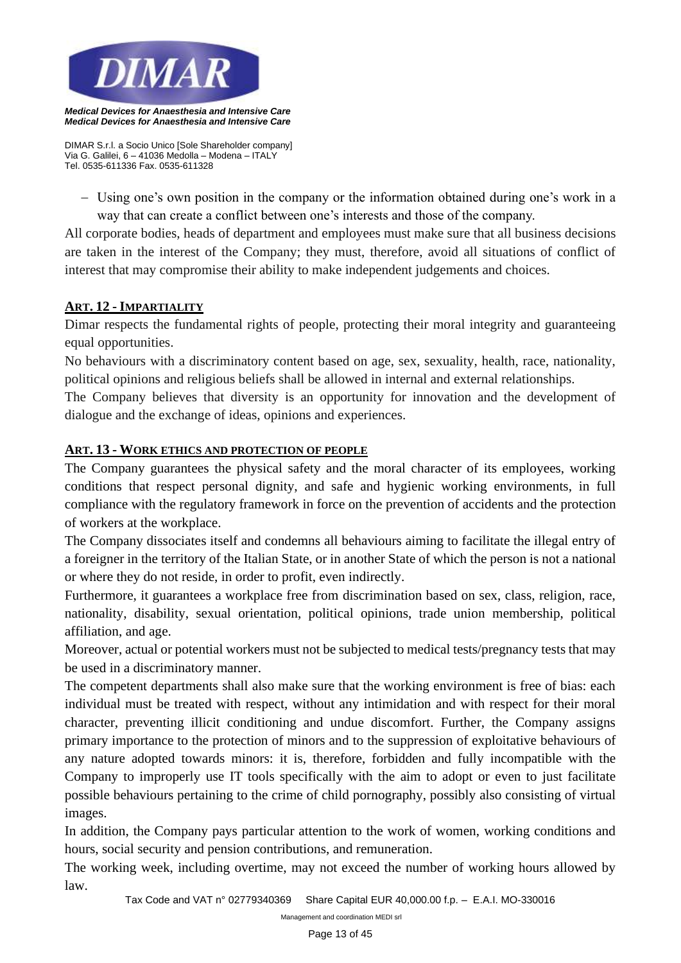

*Medical Devices for Anaesthesia and Intensive Care*

*DIMAR S.r.l. a Socio Unico [Sole Shareholder company] Via G. Galilei, 6 – 41036 Medolla – Modena – ITALY Tel. 0535-611336 Fax. 0535-611328*

− Using one's own position in the company or the information obtained during one's work in a way that can create a conflict between one's interests and those of the company.

All corporate bodies, heads of department and employees must make sure that all business decisions are taken in the interest of the Company; they must, therefore, avoid all situations of conflict of interest that may compromise their ability to make independent judgements and choices.

# **ART. 12 - IMPARTIALITY**

Dimar respects the fundamental rights of people, protecting their moral integrity and guaranteeing equal opportunities.

No behaviours with a discriminatory content based on age, sex, sexuality, health, race, nationality, political opinions and religious beliefs shall be allowed in internal and external relationships.

The Company believes that diversity is an opportunity for innovation and the development of dialogue and the exchange of ideas, opinions and experiences.

## **ART. 13 - WORK ETHICS AND PROTECTION OF PEOPLE**

The Company guarantees the physical safety and the moral character of its employees, working conditions that respect personal dignity, and safe and hygienic working environments, in full compliance with the regulatory framework in force on the prevention of accidents and the protection of workers at the workplace.

The Company dissociates itself and condemns all behaviours aiming to facilitate the illegal entry of a foreigner in the territory of the Italian State, or in another State of which the person is not a national or where they do not reside, in order to profit, even indirectly.

Furthermore, it guarantees a workplace free from discrimination based on sex, class, religion, race, nationality, disability, sexual orientation, political opinions, trade union membership, political affiliation, and age.

Moreover, actual or potential workers must not be subjected to medical tests/pregnancy tests that may be used in a discriminatory manner.

The competent departments shall also make sure that the working environment is free of bias: each individual must be treated with respect, without any intimidation and with respect for their moral character, preventing illicit conditioning and undue discomfort. Further, the Company assigns primary importance to the protection of minors and to the suppression of exploitative behaviours of any nature adopted towards minors: it is, therefore, forbidden and fully incompatible with the Company to improperly use IT tools specifically with the aim to adopt or even to just facilitate possible behaviours pertaining to the crime of child pornography, possibly also consisting of virtual images.

In addition, the Company pays particular attention to the work of women, working conditions and hours, social security and pension contributions, and remuneration.

The working week, including overtime, may not exceed the number of working hours allowed by law.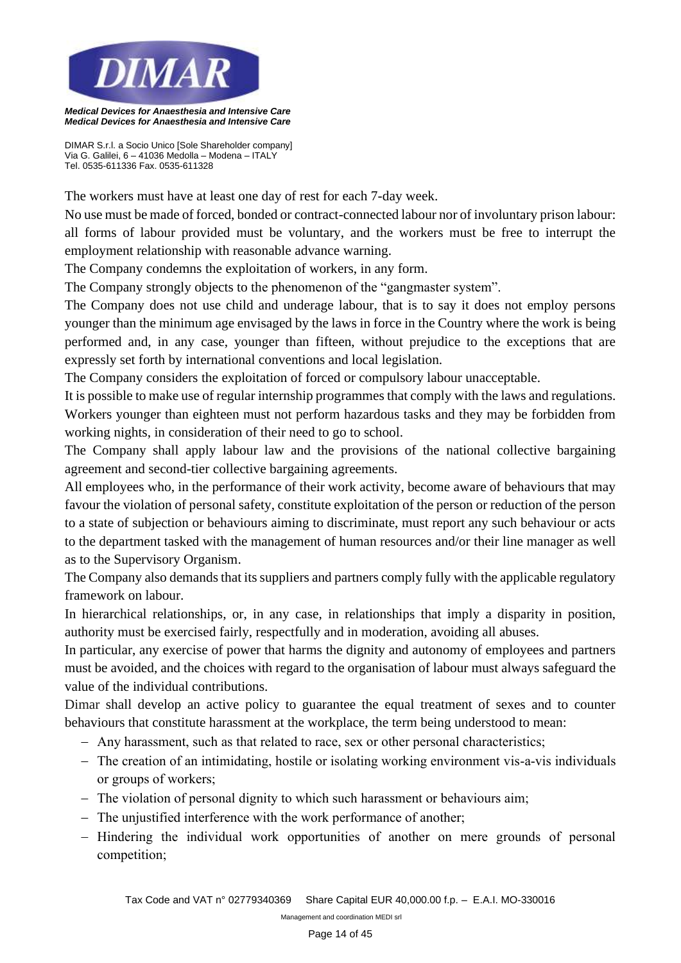

*DIMAR S.r.l. a Socio Unico [Sole Shareholder company] Via G. Galilei, 6 – 41036 Medolla – Modena – ITALY Tel. 0535-611336 Fax. 0535-611328*

The workers must have at least one day of rest for each 7-day week.

No use must be made of forced, bonded or contract-connected labour nor of involuntary prison labour: all forms of labour provided must be voluntary, and the workers must be free to interrupt the employment relationship with reasonable advance warning.

The Company condemns the exploitation of workers, in any form.

The Company strongly objects to the phenomenon of the "gangmaster system".

The Company does not use child and underage labour, that is to say it does not employ persons younger than the minimum age envisaged by the laws in force in the Country where the work is being performed and, in any case, younger than fifteen, without prejudice to the exceptions that are expressly set forth by international conventions and local legislation.

The Company considers the exploitation of forced or compulsory labour unacceptable.

It is possible to make use of regular internship programmes that comply with the laws and regulations. Workers younger than eighteen must not perform hazardous tasks and they may be forbidden from working nights, in consideration of their need to go to school.

The Company shall apply labour law and the provisions of the national collective bargaining agreement and second-tier collective bargaining agreements.

All employees who, in the performance of their work activity, become aware of behaviours that may favour the violation of personal safety, constitute exploitation of the person or reduction of the person to a state of subjection or behaviours aiming to discriminate, must report any such behaviour or acts to the department tasked with the management of human resources and/or their line manager as well as to the Supervisory Organism.

The Company also demands that its suppliers and partners comply fully with the applicable regulatory framework on labour.

In hierarchical relationships, or, in any case, in relationships that imply a disparity in position, authority must be exercised fairly, respectfully and in moderation, avoiding all abuses.

In particular, any exercise of power that harms the dignity and autonomy of employees and partners must be avoided, and the choices with regard to the organisation of labour must always safeguard the value of the individual contributions.

Dimar shall develop an active policy to guarantee the equal treatment of sexes and to counter behaviours that constitute harassment at the workplace, the term being understood to mean:

- − Any harassment, such as that related to race, sex or other personal characteristics;
- − The creation of an intimidating, hostile or isolating working environment vis-a-vis individuals or groups of workers;
- − The violation of personal dignity to which such harassment or behaviours aim;
- − The unjustified interference with the work performance of another;
- − Hindering the individual work opportunities of another on mere grounds of personal competition;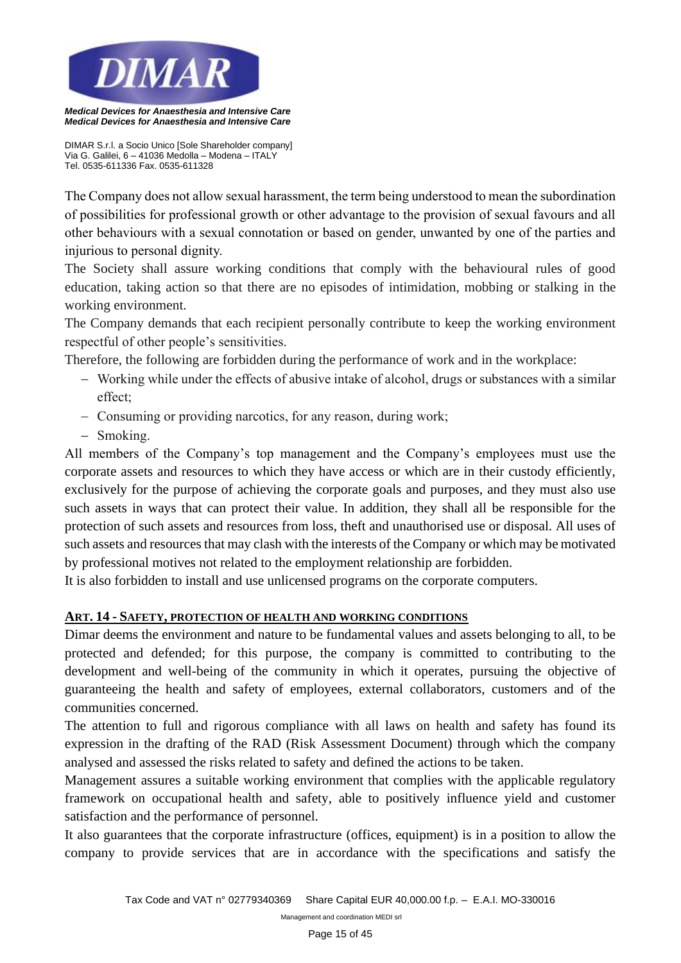

*DIMAR S.r.l. a Socio Unico [Sole Shareholder company] Via G. Galilei, 6 – 41036 Medolla – Modena – ITALY Tel. 0535-611336 Fax. 0535-611328*

The Company does not allow sexual harassment, the term being understood to mean the subordination of possibilities for professional growth or other advantage to the provision of sexual favours and all other behaviours with a sexual connotation or based on gender, unwanted by one of the parties and injurious to personal dignity.

The Society shall assure working conditions that comply with the behavioural rules of good education, taking action so that there are no episodes of intimidation, mobbing or stalking in the working environment.

The Company demands that each recipient personally contribute to keep the working environment respectful of other people's sensitivities.

Therefore, the following are forbidden during the performance of work and in the workplace:

- − Working while under the effects of abusive intake of alcohol, drugs or substances with a similar effect;
- − Consuming or providing narcotics, for any reason, during work;
- − Smoking.

All members of the Company's top management and the Company's employees must use the corporate assets and resources to which they have access or which are in their custody efficiently, exclusively for the purpose of achieving the corporate goals and purposes, and they must also use such assets in ways that can protect their value. In addition, they shall all be responsible for the protection of such assets and resources from loss, theft and unauthorised use or disposal. All uses of such assets and resources that may clash with the interests of the Company or which may be motivated by professional motives not related to the employment relationship are forbidden.

It is also forbidden to install and use unlicensed programs on the corporate computers.

## **ART. 14 - SAFETY, PROTECTION OF HEALTH AND WORKING CONDITIONS**

Dimar deems the environment and nature to be fundamental values and assets belonging to all, to be protected and defended; for this purpose, the company is committed to contributing to the development and well-being of the community in which it operates, pursuing the objective of guaranteeing the health and safety of employees, external collaborators, customers and of the communities concerned.

The attention to full and rigorous compliance with all laws on health and safety has found its expression in the drafting of the RAD (Risk Assessment Document) through which the company analysed and assessed the risks related to safety and defined the actions to be taken.

Management assures a suitable working environment that complies with the applicable regulatory framework on occupational health and safety, able to positively influence yield and customer satisfaction and the performance of personnel.

It also guarantees that the corporate infrastructure (offices, equipment) is in a position to allow the company to provide services that are in accordance with the specifications and satisfy the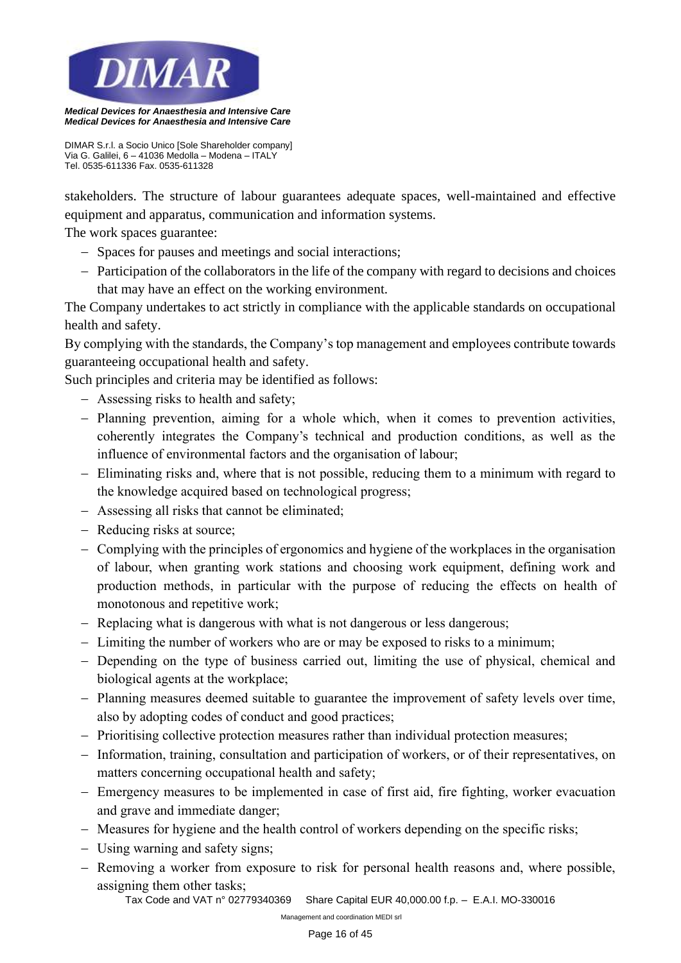

*DIMAR S.r.l. a Socio Unico [Sole Shareholder company] Via G. Galilei, 6 – 41036 Medolla – Modena – ITALY Tel. 0535-611336 Fax. 0535-611328*

stakeholders. The structure of labour guarantees adequate spaces, well-maintained and effective equipment and apparatus, communication and information systems.

The work spaces guarantee:

- − Spaces for pauses and meetings and social interactions;
- − Participation of the collaborators in the life of the company with regard to decisions and choices that may have an effect on the working environment.

The Company undertakes to act strictly in compliance with the applicable standards on occupational health and safety.

By complying with the standards, the Company's top management and employees contribute towards guaranteeing occupational health and safety.

Such principles and criteria may be identified as follows:

- − Assessing risks to health and safety;
- − Planning prevention, aiming for a whole which, when it comes to prevention activities, coherently integrates the Company's technical and production conditions, as well as the influence of environmental factors and the organisation of labour;
- − Eliminating risks and, where that is not possible, reducing them to a minimum with regard to the knowledge acquired based on technological progress;
- − Assessing all risks that cannot be eliminated;
- − Reducing risks at source;
- − Complying with the principles of ergonomics and hygiene of the workplaces in the organisation of labour, when granting work stations and choosing work equipment, defining work and production methods, in particular with the purpose of reducing the effects on health of monotonous and repetitive work;
- − Replacing what is dangerous with what is not dangerous or less dangerous;
- − Limiting the number of workers who are or may be exposed to risks to a minimum;
- − Depending on the type of business carried out, limiting the use of physical, chemical and biological agents at the workplace;
- − Planning measures deemed suitable to guarantee the improvement of safety levels over time, also by adopting codes of conduct and good practices;
- − Prioritising collective protection measures rather than individual protection measures;
- − Information, training, consultation and participation of workers, or of their representatives, on matters concerning occupational health and safety;
- − Emergency measures to be implemented in case of first aid, fire fighting, worker evacuation and grave and immediate danger;
- − Measures for hygiene and the health control of workers depending on the specific risks;
- − Using warning and safety signs;
- − Removing a worker from exposure to risk for personal health reasons and, where possible, assigning them other tasks;

*Tax Code and VAT n° 02779340369 Share Capital EUR 40,000.00 f.p. – E.A.I. MO-330016*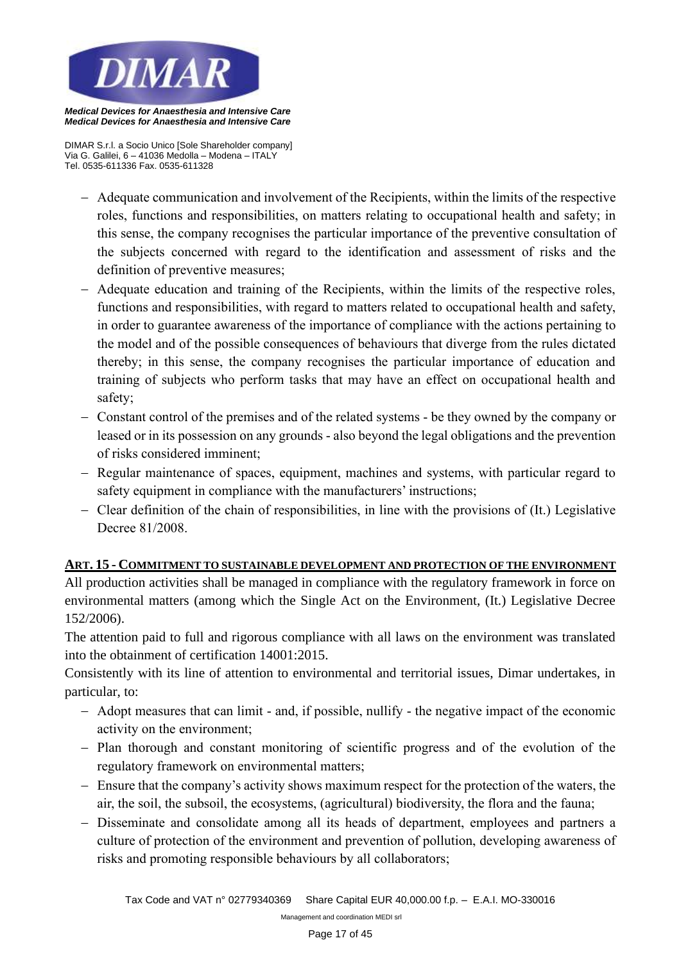

*Medical Devices for Anaesthesia and Intensive Care*

*DIMAR S.r.l. a Socio Unico [Sole Shareholder company] Via G. Galilei, 6 – 41036 Medolla – Modena – ITALY Tel. 0535-611336 Fax. 0535-611328*

- − Adequate communication and involvement of the Recipients, within the limits of the respective roles, functions and responsibilities, on matters relating to occupational health and safety; in this sense, the company recognises the particular importance of the preventive consultation of the subjects concerned with regard to the identification and assessment of risks and the definition of preventive measures;
- − Adequate education and training of the Recipients, within the limits of the respective roles, functions and responsibilities, with regard to matters related to occupational health and safety, in order to guarantee awareness of the importance of compliance with the actions pertaining to the model and of the possible consequences of behaviours that diverge from the rules dictated thereby; in this sense, the company recognises the particular importance of education and training of subjects who perform tasks that may have an effect on occupational health and safety;
- − Constant control of the premises and of the related systems be they owned by the company or leased or in its possession on any grounds - also beyond the legal obligations and the prevention of risks considered imminent;
- − Regular maintenance of spaces, equipment, machines and systems, with particular regard to safety equipment in compliance with the manufacturers' instructions;
- − Clear definition of the chain of responsibilities, in line with the provisions of (It.) Legislative Decree 81/2008.

## **ART. 15 - COMMITMENT TO SUSTAINABLE DEVELOPMENT AND PROTECTION OF THE ENVIRONMENT**

All production activities shall be managed in compliance with the regulatory framework in force on environmental matters (among which the Single Act on the Environment, (It.) Legislative Decree 152/2006).

The attention paid to full and rigorous compliance with all laws on the environment was translated into the obtainment of certification 14001:2015.

Consistently with its line of attention to environmental and territorial issues, Dimar undertakes, in particular, to:

- − Adopt measures that can limit and, if possible, nullify the negative impact of the economic activity on the environment;
- − Plan thorough and constant monitoring of scientific progress and of the evolution of the regulatory framework on environmental matters;
- − Ensure that the company's activity shows maximum respect for the protection of the waters, the air, the soil, the subsoil, the ecosystems, (agricultural) biodiversity, the flora and the fauna;
- − Disseminate and consolidate among all its heads of department, employees and partners a culture of protection of the environment and prevention of pollution, developing awareness of risks and promoting responsible behaviours by all collaborators;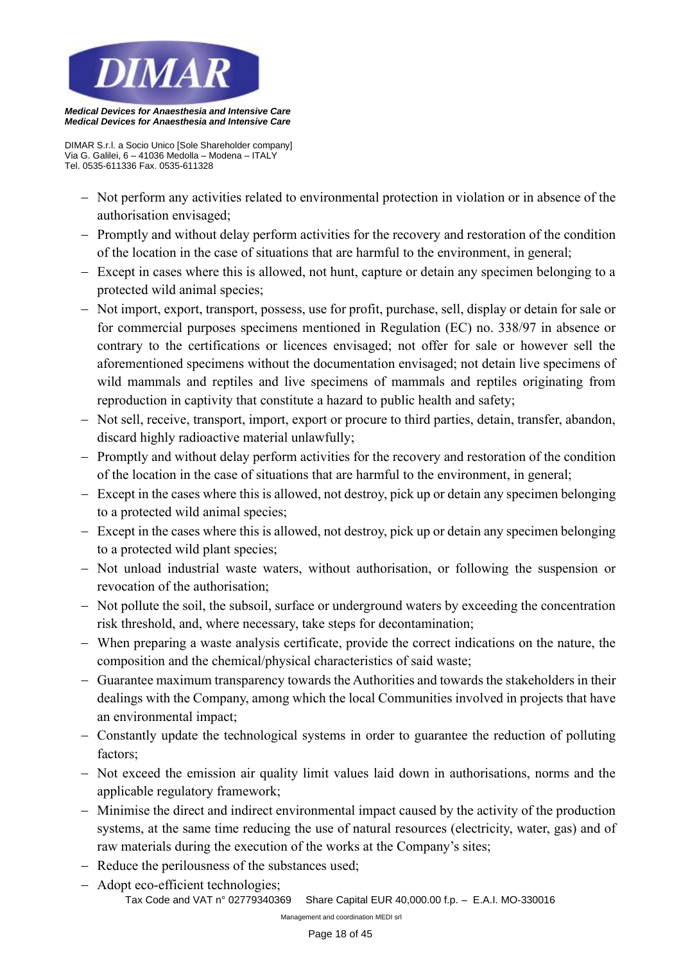

*DIMAR S.r.l. a Socio Unico [Sole Shareholder company] Via G. Galilei, 6 – 41036 Medolla – Modena – ITALY Tel. 0535-611336 Fax. 0535-611328*

- − Not perform any activities related to environmental protection in violation or in absence of the authorisation envisaged;
- − Promptly and without delay perform activities for the recovery and restoration of the condition of the location in the case of situations that are harmful to the environment, in general;
- − Except in cases where this is allowed, not hunt, capture or detain any specimen belonging to a protected wild animal species;
- − Not import, export, transport, possess, use for profit, purchase, sell, display or detain for sale or for commercial purposes specimens mentioned in Regulation (EC) no. 338/97 in absence or contrary to the certifications or licences envisaged; not offer for sale or however sell the aforementioned specimens without the documentation envisaged; not detain live specimens of wild mammals and reptiles and live specimens of mammals and reptiles originating from reproduction in captivity that constitute a hazard to public health and safety;
- − Not sell, receive, transport, import, export or procure to third parties, detain, transfer, abandon, discard highly radioactive material unlawfully;
- − Promptly and without delay perform activities for the recovery and restoration of the condition of the location in the case of situations that are harmful to the environment, in general;
- − Except in the cases where this is allowed, not destroy, pick up or detain any specimen belonging to a protected wild animal species;
- − Except in the cases where this is allowed, not destroy, pick up or detain any specimen belonging to a protected wild plant species;
- − Not unload industrial waste waters, without authorisation, or following the suspension or revocation of the authorisation;
- − Not pollute the soil, the subsoil, surface or underground waters by exceeding the concentration risk threshold, and, where necessary, take steps for decontamination;
- − When preparing a waste analysis certificate, provide the correct indications on the nature, the composition and the chemical/physical characteristics of said waste;
- − Guarantee maximum transparency towards the Authorities and towards the stakeholders in their dealings with the Company, among which the local Communities involved in projects that have an environmental impact;
- − Constantly update the technological systems in order to guarantee the reduction of polluting factors;
- − Not exceed the emission air quality limit values laid down in authorisations, norms and the applicable regulatory framework;
- − Minimise the direct and indirect environmental impact caused by the activity of the production systems, at the same time reducing the use of natural resources (electricity, water, gas) and of raw materials during the execution of the works at the Company's sites;
- − Reduce the perilousness of the substances used;
- *Tax Code and VAT n° 02779340369 Share Capital EUR 40,000.00 f.p. E.A.I. MO-330016*  − Adopt eco-efficient technologies;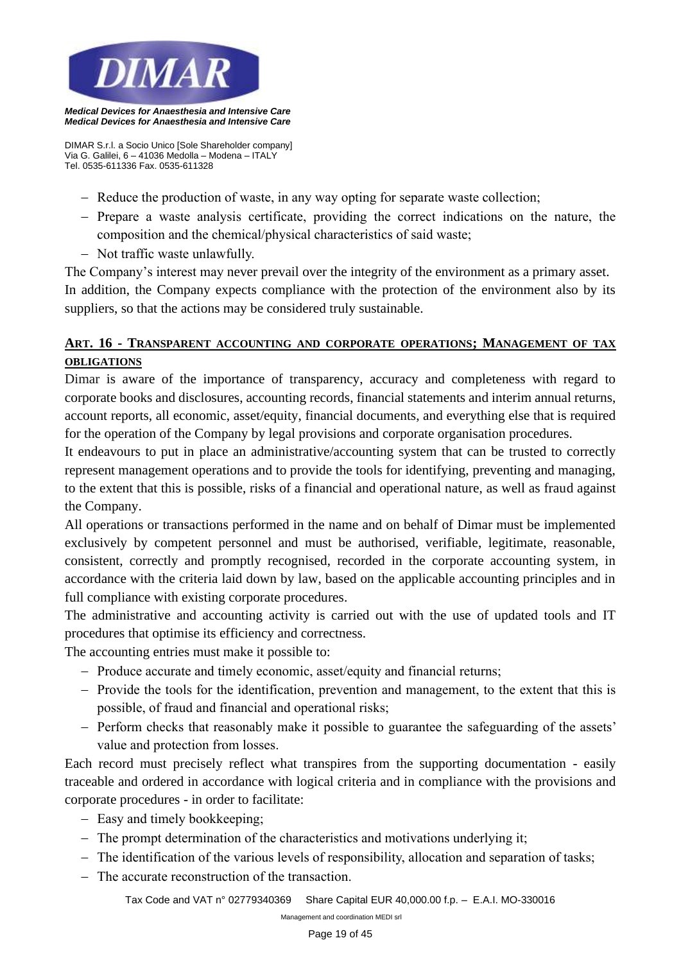

*DIMAR S.r.l. a Socio Unico [Sole Shareholder company] Via G. Galilei, 6 – 41036 Medolla – Modena – ITALY Tel. 0535-611336 Fax. 0535-611328*

- − Reduce the production of waste, in any way opting for separate waste collection;
- − Prepare a waste analysis certificate, providing the correct indications on the nature, the composition and the chemical/physical characteristics of said waste;
- − Not traffic waste unlawfully.

The Company's interest may never prevail over the integrity of the environment as a primary asset. In addition, the Company expects compliance with the protection of the environment also by its suppliers, so that the actions may be considered truly sustainable.

# **ART. 16 - TRANSPARENT ACCOUNTING AND CORPORATE OPERATIONS; MANAGEMENT OF TAX OBLIGATIONS**

Dimar is aware of the importance of transparency, accuracy and completeness with regard to corporate books and disclosures, accounting records, financial statements and interim annual returns, account reports, all economic, asset/equity, financial documents, and everything else that is required for the operation of the Company by legal provisions and corporate organisation procedures.

It endeavours to put in place an administrative/accounting system that can be trusted to correctly represent management operations and to provide the tools for identifying, preventing and managing, to the extent that this is possible, risks of a financial and operational nature, as well as fraud against the Company.

All operations or transactions performed in the name and on behalf of Dimar must be implemented exclusively by competent personnel and must be authorised, verifiable, legitimate, reasonable, consistent, correctly and promptly recognised, recorded in the corporate accounting system, in accordance with the criteria laid down by law, based on the applicable accounting principles and in full compliance with existing corporate procedures.

The administrative and accounting activity is carried out with the use of updated tools and IT procedures that optimise its efficiency and correctness.

The accounting entries must make it possible to:

- − Produce accurate and timely economic, asset/equity and financial returns;
- − Provide the tools for the identification, prevention and management, to the extent that this is possible, of fraud and financial and operational risks;
- − Perform checks that reasonably make it possible to guarantee the safeguarding of the assets' value and protection from losses.

Each record must precisely reflect what transpires from the supporting documentation - easily traceable and ordered in accordance with logical criteria and in compliance with the provisions and corporate procedures - in order to facilitate:

- − Easy and timely bookkeeping;
- − The prompt determination of the characteristics and motivations underlying it;
- − The identification of the various levels of responsibility, allocation and separation of tasks;
- − The accurate reconstruction of the transaction.

*Tax Code and VAT n° 02779340369 Share Capital EUR 40,000.00 f.p. – E.A.I. MO-330016*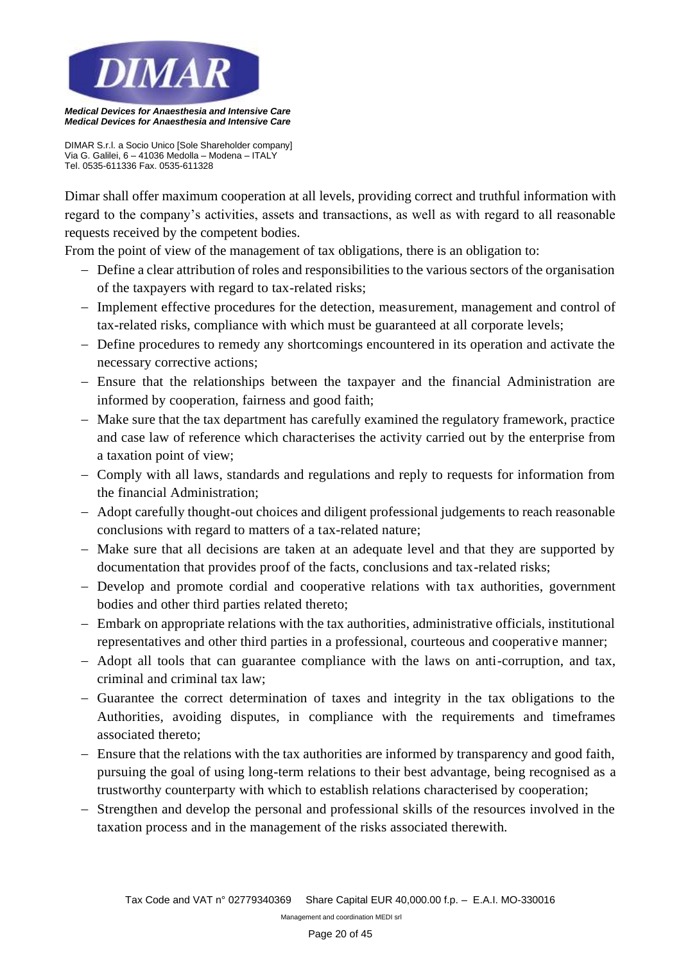

*DIMAR S.r.l. a Socio Unico [Sole Shareholder company] Via G. Galilei, 6 – 41036 Medolla – Modena – ITALY Tel. 0535-611336 Fax. 0535-611328*

Dimar shall offer maximum cooperation at all levels, providing correct and truthful information with regard to the company's activities, assets and transactions, as well as with regard to all reasonable requests received by the competent bodies.

From the point of view of the management of tax obligations, there is an obligation to:

- − Define a clear attribution of roles and responsibilities to the various sectors of the organisation of the taxpayers with regard to tax-related risks;
- − Implement effective procedures for the detection, measurement, management and control of tax-related risks, compliance with which must be guaranteed at all corporate levels;
- − Define procedures to remedy any shortcomings encountered in its operation and activate the necessary corrective actions;
- − Ensure that the relationships between the taxpayer and the financial Administration are informed by cooperation, fairness and good faith;
- − Make sure that the tax department has carefully examined the regulatory framework, practice and case law of reference which characterises the activity carried out by the enterprise from a taxation point of view;
- − Comply with all laws, standards and regulations and reply to requests for information from the financial Administration;
- − Adopt carefully thought-out choices and diligent professional judgements to reach reasonable conclusions with regard to matters of a tax-related nature;
- − Make sure that all decisions are taken at an adequate level and that they are supported by documentation that provides proof of the facts, conclusions and tax-related risks;
- − Develop and promote cordial and cooperative relations with tax authorities, government bodies and other third parties related thereto;
- − Embark on appropriate relations with the tax authorities, administrative officials, institutional representatives and other third parties in a professional, courteous and cooperative manner;
- − Adopt all tools that can guarantee compliance with the laws on anti-corruption, and tax, criminal and criminal tax law;
- − Guarantee the correct determination of taxes and integrity in the tax obligations to the Authorities, avoiding disputes, in compliance with the requirements and timeframes associated thereto;
- − Ensure that the relations with the tax authorities are informed by transparency and good faith, pursuing the goal of using long-term relations to their best advantage, being recognised as a trustworthy counterparty with which to establish relations characterised by cooperation;
- − Strengthen and develop the personal and professional skills of the resources involved in the taxation process and in the management of the risks associated therewith.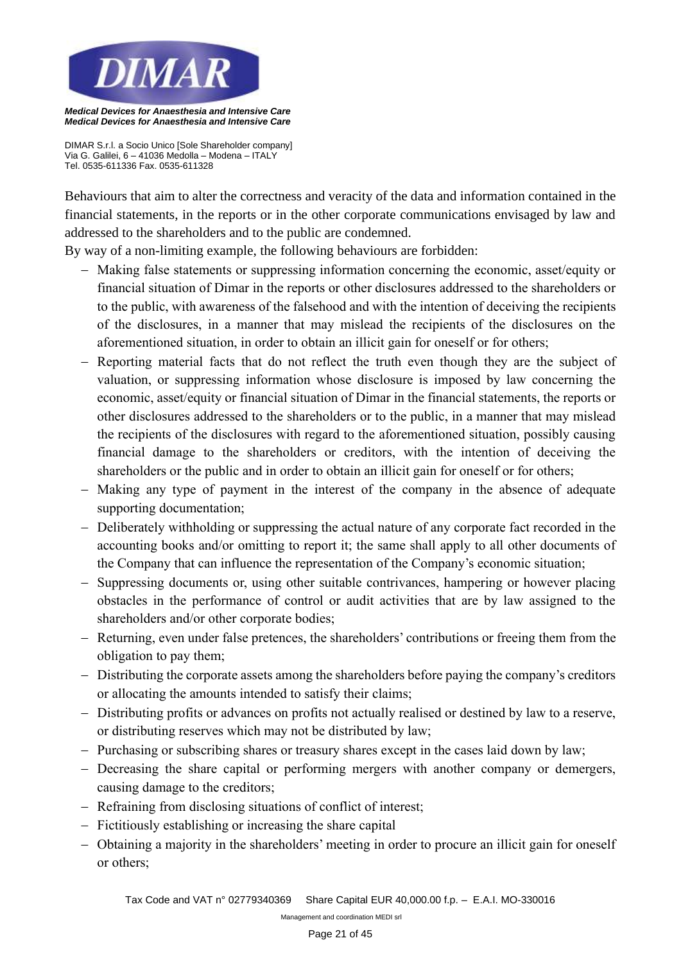

*DIMAR S.r.l. a Socio Unico [Sole Shareholder company] Via G. Galilei, 6 – 41036 Medolla – Modena – ITALY Tel. 0535-611336 Fax. 0535-611328*

Behaviours that aim to alter the correctness and veracity of the data and information contained in the financial statements, in the reports or in the other corporate communications envisaged by law and addressed to the shareholders and to the public are condemned.

By way of a non-limiting example, the following behaviours are forbidden:

- − Making false statements or suppressing information concerning the economic, asset/equity or financial situation of Dimar in the reports or other disclosures addressed to the shareholders or to the public, with awareness of the falsehood and with the intention of deceiving the recipients of the disclosures, in a manner that may mislead the recipients of the disclosures on the aforementioned situation, in order to obtain an illicit gain for oneself or for others;
- − Reporting material facts that do not reflect the truth even though they are the subject of valuation, or suppressing information whose disclosure is imposed by law concerning the economic, asset/equity or financial situation of Dimar in the financial statements, the reports or other disclosures addressed to the shareholders or to the public, in a manner that may mislead the recipients of the disclosures with regard to the aforementioned situation, possibly causing financial damage to the shareholders or creditors, with the intention of deceiving the shareholders or the public and in order to obtain an illicit gain for oneself or for others;
- − Making any type of payment in the interest of the company in the absence of adequate supporting documentation;
- − Deliberately withholding or suppressing the actual nature of any corporate fact recorded in the accounting books and/or omitting to report it; the same shall apply to all other documents of the Company that can influence the representation of the Company's economic situation;
- − Suppressing documents or, using other suitable contrivances, hampering or however placing obstacles in the performance of control or audit activities that are by law assigned to the shareholders and/or other corporate bodies;
- − Returning, even under false pretences, the shareholders' contributions or freeing them from the obligation to pay them;
- − Distributing the corporate assets among the shareholders before paying the company's creditors or allocating the amounts intended to satisfy their claims;
- − Distributing profits or advances on profits not actually realised or destined by law to a reserve, or distributing reserves which may not be distributed by law;
- − Purchasing or subscribing shares or treasury shares except in the cases laid down by law;
- − Decreasing the share capital or performing mergers with another company or demergers, causing damage to the creditors;
- − Refraining from disclosing situations of conflict of interest;
- − Fictitiously establishing or increasing the share capital
- − Obtaining a majority in the shareholders' meeting in order to procure an illicit gain for oneself or others;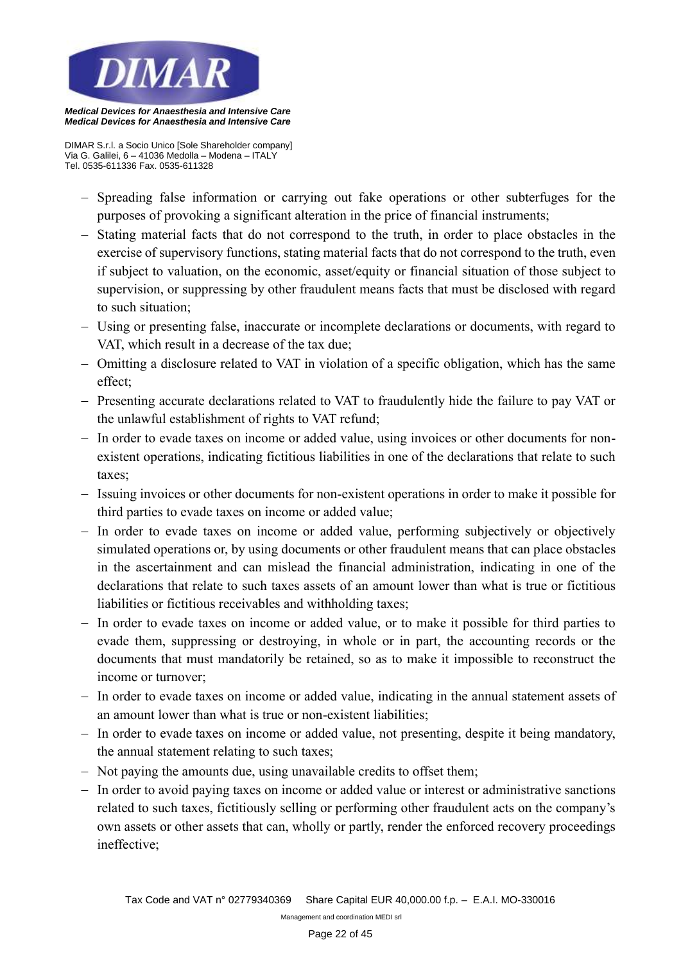

*Medical Devices for Anaesthesia and Intensive Care*

*DIMAR S.r.l. a Socio Unico [Sole Shareholder company] Via G. Galilei, 6 – 41036 Medolla – Modena – ITALY Tel. 0535-611336 Fax. 0535-611328*

- − Spreading false information or carrying out fake operations or other subterfuges for the purposes of provoking a significant alteration in the price of financial instruments;
- − Stating material facts that do not correspond to the truth, in order to place obstacles in the exercise of supervisory functions, stating material facts that do not correspond to the truth, even if subject to valuation, on the economic, asset/equity or financial situation of those subject to supervision, or suppressing by other fraudulent means facts that must be disclosed with regard to such situation;
- − Using or presenting false, inaccurate or incomplete declarations or documents, with regard to VAT, which result in a decrease of the tax due;
- − Omitting a disclosure related to VAT in violation of a specific obligation, which has the same effect;
- − Presenting accurate declarations related to VAT to fraudulently hide the failure to pay VAT or the unlawful establishment of rights to VAT refund;
- − In order to evade taxes on income or added value, using invoices or other documents for nonexistent operations, indicating fictitious liabilities in one of the declarations that relate to such taxes;
- − Issuing invoices or other documents for non-existent operations in order to make it possible for third parties to evade taxes on income or added value;
- − In order to evade taxes on income or added value, performing subjectively or objectively simulated operations or, by using documents or other fraudulent means that can place obstacles in the ascertainment and can mislead the financial administration, indicating in one of the declarations that relate to such taxes assets of an amount lower than what is true or fictitious liabilities or fictitious receivables and withholding taxes;
- − In order to evade taxes on income or added value, or to make it possible for third parties to evade them, suppressing or destroying, in whole or in part, the accounting records or the documents that must mandatorily be retained, so as to make it impossible to reconstruct the income or turnover;
- − In order to evade taxes on income or added value, indicating in the annual statement assets of an amount lower than what is true or non-existent liabilities;
- − In order to evade taxes on income or added value, not presenting, despite it being mandatory, the annual statement relating to such taxes;
- − Not paying the amounts due, using unavailable credits to offset them;
- − In order to avoid paying taxes on income or added value or interest or administrative sanctions related to such taxes, fictitiously selling or performing other fraudulent acts on the company's own assets or other assets that can, wholly or partly, render the enforced recovery proceedings ineffective;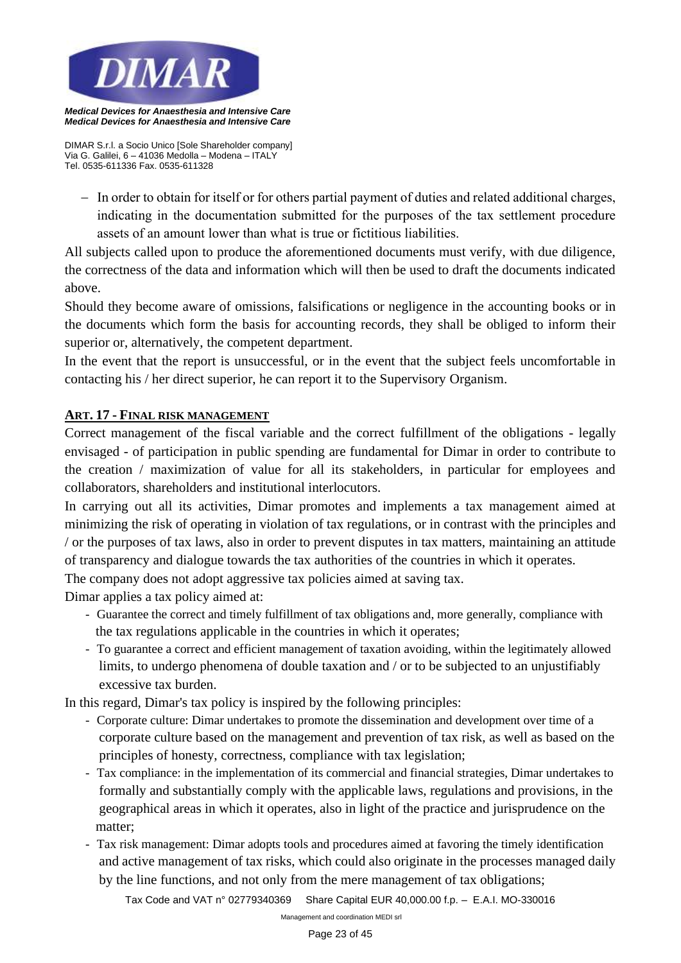

*DIMAR S.r.l. a Socio Unico [Sole Shareholder company] Via G. Galilei, 6 – 41036 Medolla – Modena – ITALY Tel. 0535-611336 Fax. 0535-611328*

− In order to obtain for itself or for others partial payment of duties and related additional charges, indicating in the documentation submitted for the purposes of the tax settlement procedure assets of an amount lower than what is true or fictitious liabilities.

All subjects called upon to produce the aforementioned documents must verify, with due diligence, the correctness of the data and information which will then be used to draft the documents indicated above.

Should they become aware of omissions, falsifications or negligence in the accounting books or in the documents which form the basis for accounting records, they shall be obliged to inform their superior or, alternatively, the competent department.

In the event that the report is unsuccessful, or in the event that the subject feels uncomfortable in contacting his / her direct superior, he can report it to the Supervisory Organism.

## **ART. 17 - FINAL RISK MANAGEMENT**

Correct management of the fiscal variable and the correct fulfillment of the obligations - legally envisaged - of participation in public spending are fundamental for Dimar in order to contribute to the creation / maximization of value for all its stakeholders, in particular for employees and collaborators, shareholders and institutional interlocutors.

In carrying out all its activities, Dimar promotes and implements a tax management aimed at minimizing the risk of operating in violation of tax regulations, or in contrast with the principles and / or the purposes of tax laws, also in order to prevent disputes in tax matters, maintaining an attitude of transparency and dialogue towards the tax authorities of the countries in which it operates.

The company does not adopt aggressive tax policies aimed at saving tax.

Dimar applies a tax policy aimed at:

- Guarantee the correct and timely fulfillment of tax obligations and, more generally, compliance with the tax regulations applicable in the countries in which it operates;
- To guarantee a correct and efficient management of taxation avoiding, within the legitimately allowed limits, to undergo phenomena of double taxation and / or to be subjected to an unjustifiably excessive tax burden.

In this regard, Dimar's tax policy is inspired by the following principles:

- Corporate culture: Dimar undertakes to promote the dissemination and development over time of a corporate culture based on the management and prevention of tax risk, as well as based on the principles of honesty, correctness, compliance with tax legislation;
- Tax compliance: in the implementation of its commercial and financial strategies, Dimar undertakes to formally and substantially comply with the applicable laws, regulations and provisions, in the geographical areas in which it operates, also in light of the practice and jurisprudence on the matter;
- Tax risk management: Dimar adopts tools and procedures aimed at favoring the timely identification and active management of tax risks, which could also originate in the processes managed daily by the line functions, and not only from the mere management of tax obligations;

*Tax Code and VAT n° 02779340369 Share Capital EUR 40,000.00 f.p. – E.A.I. MO-330016*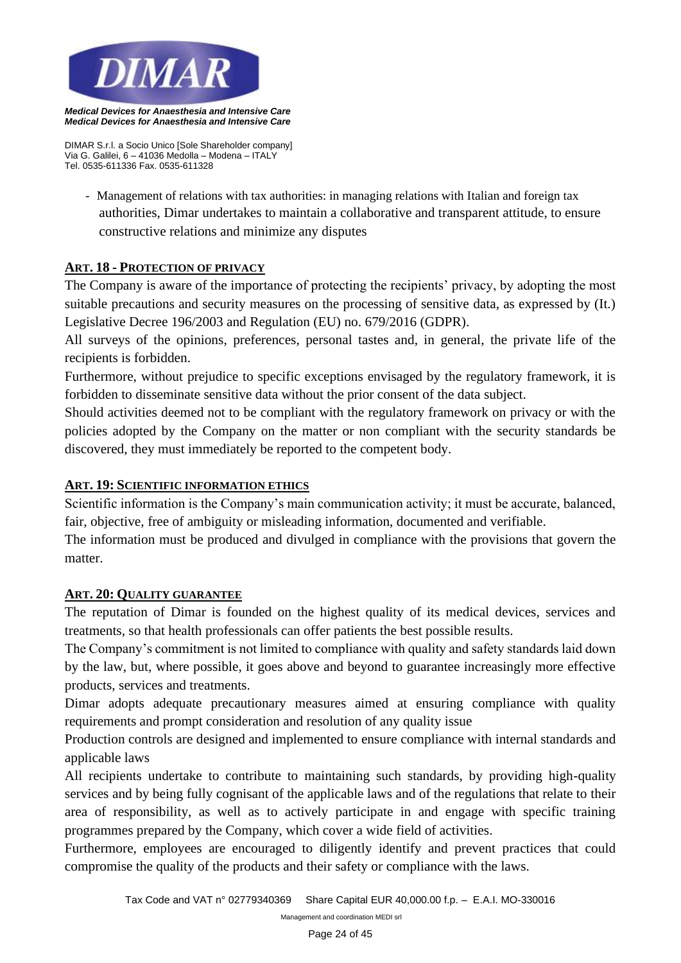

*DIMAR S.r.l. a Socio Unico [Sole Shareholder company] Via G. Galilei, 6 – 41036 Medolla – Modena – ITALY Tel. 0535-611336 Fax. 0535-611328*

- Management of relations with tax authorities: in managing relations with Italian and foreign tax authorities, Dimar undertakes to maintain a collaborative and transparent attitude, to ensure constructive relations and minimize any disputes

# **ART. 18 - PROTECTION OF PRIVACY**

The Company is aware of the importance of protecting the recipients' privacy, by adopting the most suitable precautions and security measures on the processing of sensitive data, as expressed by (It.) Legislative Decree 196/2003 and Regulation (EU) no. 679/2016 (GDPR).

All surveys of the opinions, preferences, personal tastes and, in general, the private life of the recipients is forbidden.

Furthermore, without prejudice to specific exceptions envisaged by the regulatory framework, it is forbidden to disseminate sensitive data without the prior consent of the data subject.

Should activities deemed not to be compliant with the regulatory framework on privacy or with the policies adopted by the Company on the matter or non compliant with the security standards be discovered, they must immediately be reported to the competent body.

## **ART. 19: SCIENTIFIC INFORMATION ETHICS**

Scientific information is the Company's main communication activity; it must be accurate, balanced, fair, objective, free of ambiguity or misleading information, documented and verifiable.

The information must be produced and divulged in compliance with the provisions that govern the matter.

## **ART. 20: QUALITY GUARANTEE**

The reputation of Dimar is founded on the highest quality of its medical devices, services and treatments, so that health professionals can offer patients the best possible results.

The Company's commitment is not limited to compliance with quality and safety standards laid down by the law, but, where possible, it goes above and beyond to guarantee increasingly more effective products, services and treatments.

Dimar adopts adequate precautionary measures aimed at ensuring compliance with quality requirements and prompt consideration and resolution of any quality issue

Production controls are designed and implemented to ensure compliance with internal standards and applicable laws

All recipients undertake to contribute to maintaining such standards, by providing high-quality services and by being fully cognisant of the applicable laws and of the regulations that relate to their area of responsibility, as well as to actively participate in and engage with specific training programmes prepared by the Company, which cover a wide field of activities.

Furthermore, employees are encouraged to diligently identify and prevent practices that could compromise the quality of the products and their safety or compliance with the laws.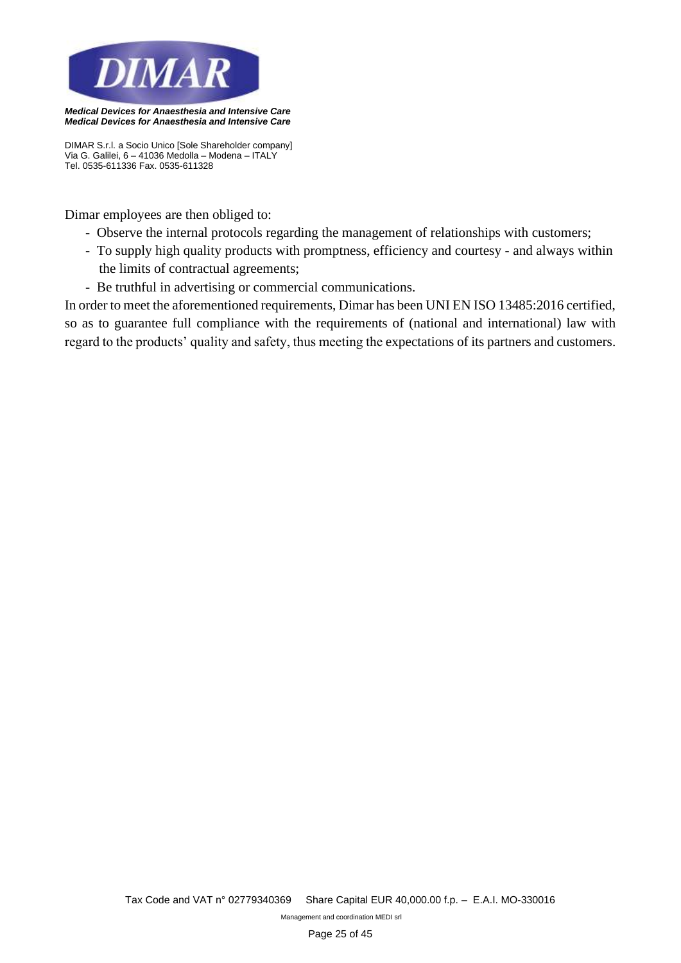

*DIMAR S.r.l. a Socio Unico [Sole Shareholder company] Via G. Galilei, 6 – 41036 Medolla – Modena – ITALY Tel. 0535-611336 Fax. 0535-611328*

Dimar employees are then obliged to:

- Observe the internal protocols regarding the management of relationships with customers;
- To supply high quality products with promptness, efficiency and courtesy and always within the limits of contractual agreements;
- Be truthful in advertising or commercial communications.

In order to meet the aforementioned requirements, Dimar has been UNI EN ISO 13485:2016 certified, so as to guarantee full compliance with the requirements of (national and international) law with regard to the products' quality and safety, thus meeting the expectations of its partners and customers.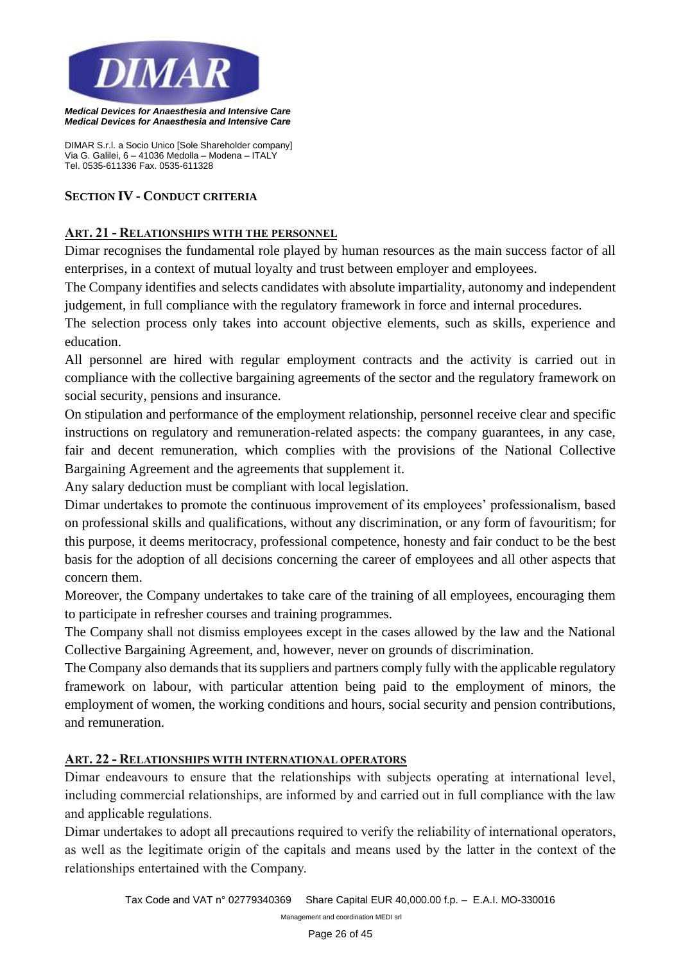

*DIMAR S.r.l. a Socio Unico [Sole Shareholder company] Via G. Galilei, 6 – 41036 Medolla – Modena – ITALY Tel. 0535-611336 Fax. 0535-611328*

#### **SECTION IV - CONDUCT CRITERIA**

## **ART. 21 - RELATIONSHIPS WITH THE PERSONNEL**

Dimar recognises the fundamental role played by human resources as the main success factor of all enterprises, in a context of mutual loyalty and trust between employer and employees.

The Company identifies and selects candidates with absolute impartiality, autonomy and independent judgement, in full compliance with the regulatory framework in force and internal procedures.

The selection process only takes into account objective elements, such as skills, experience and education.

All personnel are hired with regular employment contracts and the activity is carried out in compliance with the collective bargaining agreements of the sector and the regulatory framework on social security, pensions and insurance.

On stipulation and performance of the employment relationship, personnel receive clear and specific instructions on regulatory and remuneration-related aspects: the company guarantees, in any case, fair and decent remuneration, which complies with the provisions of the National Collective Bargaining Agreement and the agreements that supplement it.

Any salary deduction must be compliant with local legislation.

Dimar undertakes to promote the continuous improvement of its employees' professionalism, based on professional skills and qualifications, without any discrimination, or any form of favouritism; for this purpose, it deems meritocracy, professional competence, honesty and fair conduct to be the best basis for the adoption of all decisions concerning the career of employees and all other aspects that concern them.

Moreover, the Company undertakes to take care of the training of all employees, encouraging them to participate in refresher courses and training programmes.

The Company shall not dismiss employees except in the cases allowed by the law and the National Collective Bargaining Agreement, and, however, never on grounds of discrimination.

The Company also demands that its suppliers and partners comply fully with the applicable regulatory framework on labour, with particular attention being paid to the employment of minors, the employment of women, the working conditions and hours, social security and pension contributions, and remuneration.

## **ART. 22 - RELATIONSHIPS WITH INTERNATIONAL OPERATORS**

Dimar endeavours to ensure that the relationships with subjects operating at international level, including commercial relationships, are informed by and carried out in full compliance with the law and applicable regulations.

Dimar undertakes to adopt all precautions required to verify the reliability of international operators, as well as the legitimate origin of the capitals and means used by the latter in the context of the relationships entertained with the Company.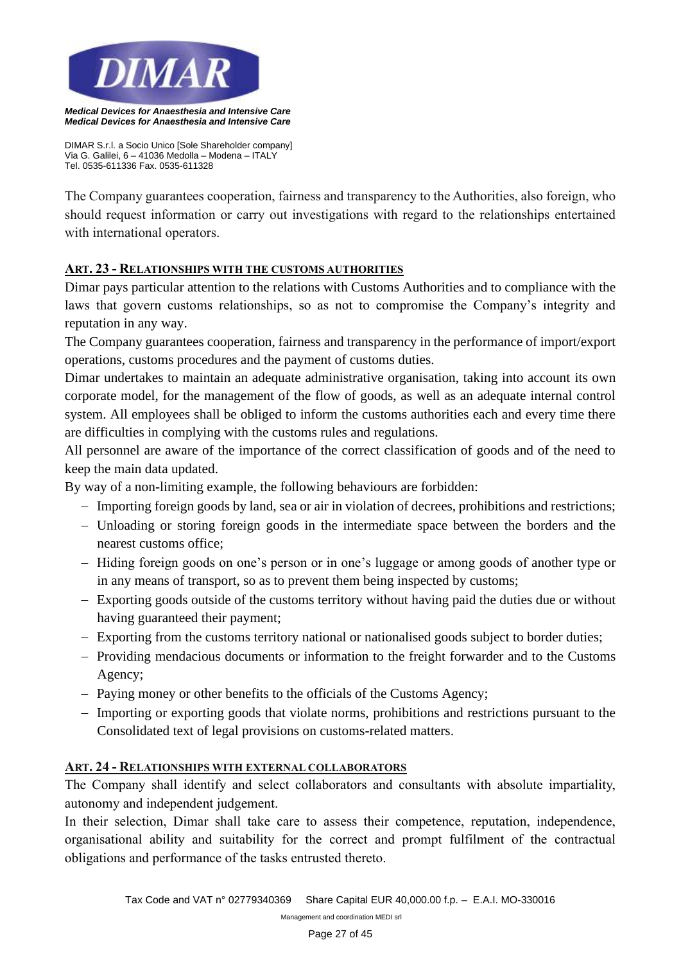

*DIMAR S.r.l. a Socio Unico [Sole Shareholder company] Via G. Galilei, 6 – 41036 Medolla – Modena – ITALY Tel. 0535-611336 Fax. 0535-611328*

The Company guarantees cooperation, fairness and transparency to the Authorities, also foreign, who should request information or carry out investigations with regard to the relationships entertained with international operators.

## **ART. 23 - RELATIONSHIPS WITH THE CUSTOMS AUTHORITIES**

Dimar pays particular attention to the relations with Customs Authorities and to compliance with the laws that govern customs relationships, so as not to compromise the Company's integrity and reputation in any way.

The Company guarantees cooperation, fairness and transparency in the performance of import/export operations, customs procedures and the payment of customs duties.

Dimar undertakes to maintain an adequate administrative organisation, taking into account its own corporate model, for the management of the flow of goods, as well as an adequate internal control system. All employees shall be obliged to inform the customs authorities each and every time there are difficulties in complying with the customs rules and regulations.

All personnel are aware of the importance of the correct classification of goods and of the need to keep the main data updated.

By way of a non-limiting example, the following behaviours are forbidden:

- − Importing foreign goods by land, sea or air in violation of decrees, prohibitions and restrictions;
- − Unloading or storing foreign goods in the intermediate space between the borders and the nearest customs office;
- − Hiding foreign goods on one's person or in one's luggage or among goods of another type or in any means of transport, so as to prevent them being inspected by customs;
- − Exporting goods outside of the customs territory without having paid the duties due or without having guaranteed their payment;
- − Exporting from the customs territory national or nationalised goods subject to border duties;
- − Providing mendacious documents or information to the freight forwarder and to the Customs Agency;
- − Paying money or other benefits to the officials of the Customs Agency;
- − Importing or exporting goods that violate norms, prohibitions and restrictions pursuant to the Consolidated text of legal provisions on customs-related matters.

## **ART. 24 - RELATIONSHIPS WITH EXTERNAL COLLABORATORS**

The Company shall identify and select collaborators and consultants with absolute impartiality, autonomy and independent judgement.

In their selection, Dimar shall take care to assess their competence, reputation, independence, organisational ability and suitability for the correct and prompt fulfilment of the contractual obligations and performance of the tasks entrusted thereto.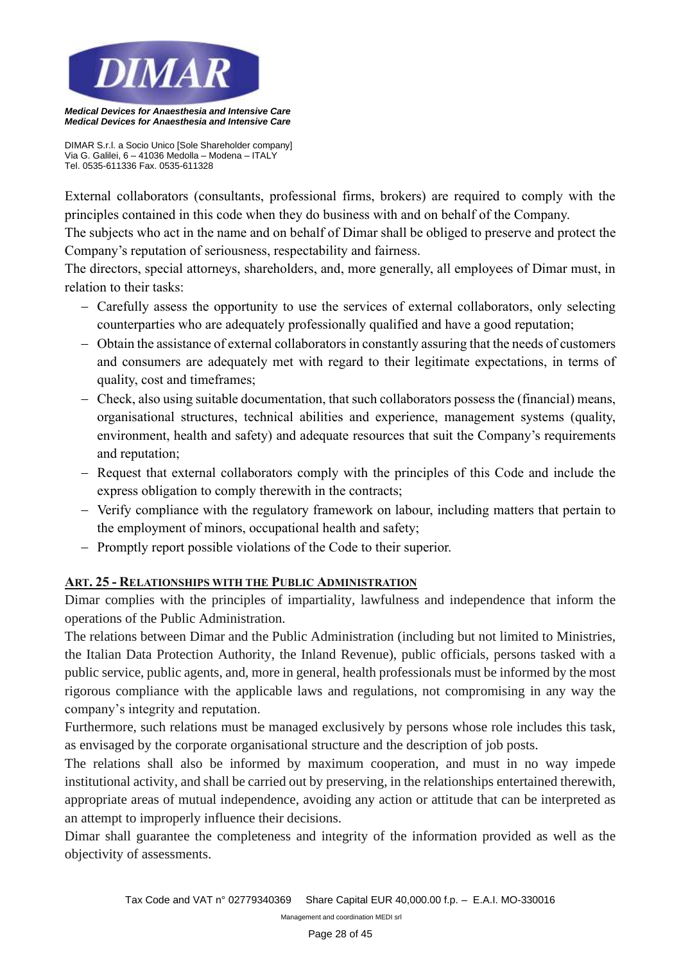

*DIMAR S.r.l. a Socio Unico [Sole Shareholder company] Via G. Galilei, 6 – 41036 Medolla – Modena – ITALY Tel. 0535-611336 Fax. 0535-611328*

External collaborators (consultants, professional firms, brokers) are required to comply with the principles contained in this code when they do business with and on behalf of the Company.

The subjects who act in the name and on behalf of Dimar shall be obliged to preserve and protect the Company's reputation of seriousness, respectability and fairness.

The directors, special attorneys, shareholders, and, more generally, all employees of Dimar must, in relation to their tasks:

- − Carefully assess the opportunity to use the services of external collaborators, only selecting counterparties who are adequately professionally qualified and have a good reputation;
- − Obtain the assistance of external collaborators in constantly assuring that the needs of customers and consumers are adequately met with regard to their legitimate expectations, in terms of quality, cost and timeframes;
- − Check, also using suitable documentation, that such collaborators possess the (financial) means, organisational structures, technical abilities and experience, management systems (quality, environment, health and safety) and adequate resources that suit the Company's requirements and reputation;
- − Request that external collaborators comply with the principles of this Code and include the express obligation to comply therewith in the contracts;
- − Verify compliance with the regulatory framework on labour, including matters that pertain to the employment of minors, occupational health and safety;
- − Promptly report possible violations of the Code to their superior.

# **ART. 25 - RELATIONSHIPS WITH THE PUBLIC ADMINISTRATION**

Dimar complies with the principles of impartiality, lawfulness and independence that inform the operations of the Public Administration.

The relations between Dimar and the Public Administration (including but not limited to Ministries, the Italian Data Protection Authority, the Inland Revenue), public officials, persons tasked with a public service, public agents, and, more in general, health professionals must be informed by the most rigorous compliance with the applicable laws and regulations, not compromising in any way the company's integrity and reputation.

Furthermore, such relations must be managed exclusively by persons whose role includes this task, as envisaged by the corporate organisational structure and the description of job posts.

The relations shall also be informed by maximum cooperation, and must in no way impede institutional activity, and shall be carried out by preserving, in the relationships entertained therewith, appropriate areas of mutual independence, avoiding any action or attitude that can be interpreted as an attempt to improperly influence their decisions.

Dimar shall guarantee the completeness and integrity of the information provided as well as the objectivity of assessments.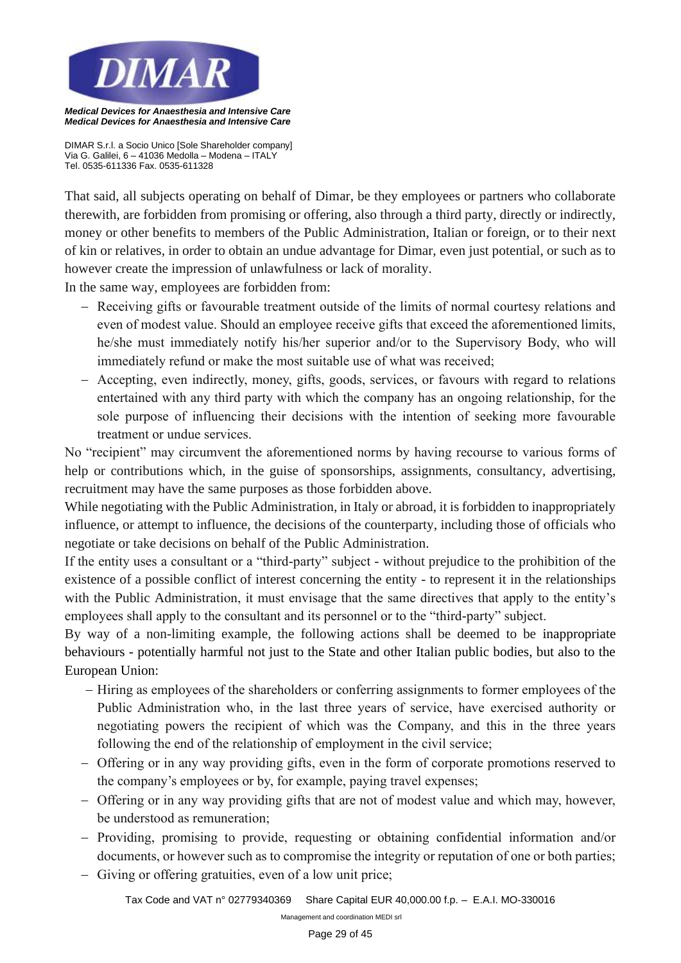

*DIMAR S.r.l. a Socio Unico [Sole Shareholder company] Via G. Galilei, 6 – 41036 Medolla – Modena – ITALY Tel. 0535-611336 Fax. 0535-611328*

That said, all subjects operating on behalf of Dimar, be they employees or partners who collaborate therewith, are forbidden from promising or offering, also through a third party, directly or indirectly, money or other benefits to members of the Public Administration, Italian or foreign, or to their next of kin or relatives, in order to obtain an undue advantage for Dimar, even just potential, or such as to however create the impression of unlawfulness or lack of morality.

In the same way, employees are forbidden from:

- − Receiving gifts or favourable treatment outside of the limits of normal courtesy relations and even of modest value. Should an employee receive gifts that exceed the aforementioned limits, he/she must immediately notify his/her superior and/or to the Supervisory Body, who will immediately refund or make the most suitable use of what was received;
- − Accepting, even indirectly, money, gifts, goods, services, or favours with regard to relations entertained with any third party with which the company has an ongoing relationship, for the sole purpose of influencing their decisions with the intention of seeking more favourable treatment or undue services.

No "recipient" may circumvent the aforementioned norms by having recourse to various forms of help or contributions which, in the guise of sponsorships, assignments, consultancy, advertising, recruitment may have the same purposes as those forbidden above.

While negotiating with the Public Administration, in Italy or abroad, it is forbidden to inappropriately influence, or attempt to influence, the decisions of the counterparty, including those of officials who negotiate or take decisions on behalf of the Public Administration.

If the entity uses a consultant or a "third-party" subject - without prejudice to the prohibition of the existence of a possible conflict of interest concerning the entity - to represent it in the relationships with the Public Administration, it must envisage that the same directives that apply to the entity's employees shall apply to the consultant and its personnel or to the "third-party" subject.

By way of a non-limiting example, the following actions shall be deemed to be inappropriate behaviours - potentially harmful not just to the State and other Italian public bodies, but also to the European Union:

- − Hiring as employees of the shareholders or conferring assignments to former employees of the Public Administration who, in the last three years of service, have exercised authority or negotiating powers the recipient of which was the Company, and this in the three years following the end of the relationship of employment in the civil service;
- − Offering or in any way providing gifts, even in the form of corporate promotions reserved to the company's employees or by, for example, paying travel expenses;
- − Offering or in any way providing gifts that are not of modest value and which may, however, be understood as remuneration;
- − Providing, promising to provide, requesting or obtaining confidential information and/or documents, or however such as to compromise the integrity or reputation of one or both parties;
- − Giving or offering gratuities, even of a low unit price;

*Tax Code and VAT n° 02779340369 Share Capital EUR 40,000.00 f.p. – E.A.I. MO-330016*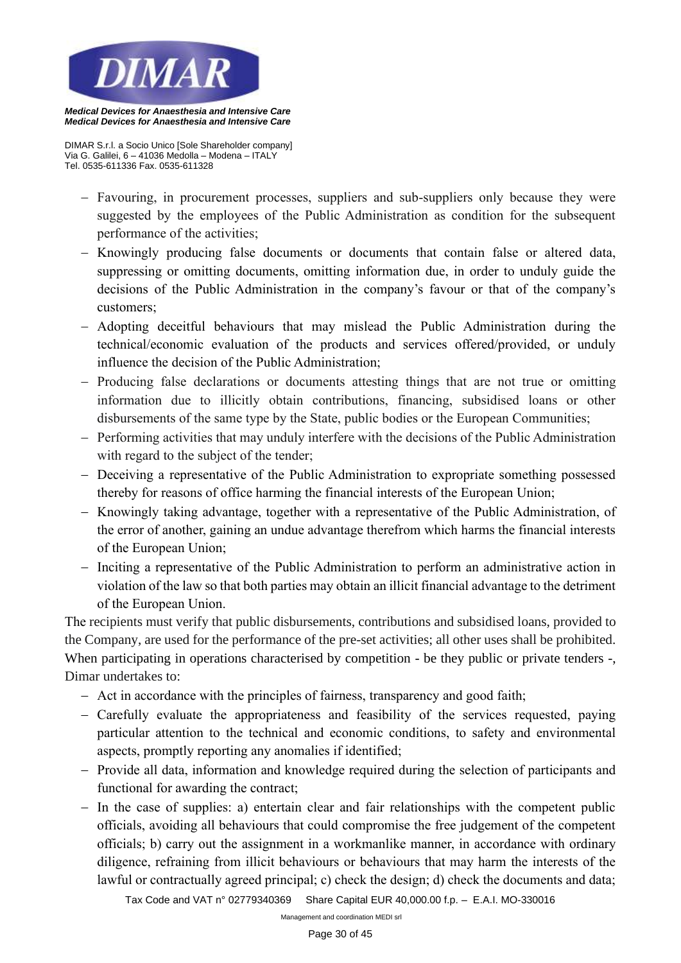

*Medical Devices for Anaesthesia and Intensive Care*

*DIMAR S.r.l. a Socio Unico [Sole Shareholder company] Via G. Galilei, 6 – 41036 Medolla – Modena – ITALY Tel. 0535-611336 Fax. 0535-611328*

- − Favouring, in procurement processes, suppliers and sub-suppliers only because they were suggested by the employees of the Public Administration as condition for the subsequent performance of the activities;
- − Knowingly producing false documents or documents that contain false or altered data, suppressing or omitting documents, omitting information due, in order to unduly guide the decisions of the Public Administration in the company's favour or that of the company's customers;
- − Adopting deceitful behaviours that may mislead the Public Administration during the technical/economic evaluation of the products and services offered/provided, or unduly influence the decision of the Public Administration;
- − Producing false declarations or documents attesting things that are not true or omitting information due to illicitly obtain contributions, financing, subsidised loans or other disbursements of the same type by the State, public bodies or the European Communities;
- − Performing activities that may unduly interfere with the decisions of the Public Administration with regard to the subject of the tender;
- − Deceiving a representative of the Public Administration to expropriate something possessed thereby for reasons of office harming the financial interests of the European Union;
- − Knowingly taking advantage, together with a representative of the Public Administration, of the error of another, gaining an undue advantage therefrom which harms the financial interests of the European Union;
- − Inciting a representative of the Public Administration to perform an administrative action in violation of the law so that both parties may obtain an illicit financial advantage to the detriment of the European Union.

The recipients must verify that public disbursements, contributions and subsidised loans, provided to the Company, are used for the performance of the pre-set activities; all other uses shall be prohibited. When participating in operations characterised by competition - be they public or private tenders -, Dimar undertakes to:

- − Act in accordance with the principles of fairness, transparency and good faith;
- − Carefully evaluate the appropriateness and feasibility of the services requested, paying particular attention to the technical and economic conditions, to safety and environmental aspects, promptly reporting any anomalies if identified;
- − Provide all data, information and knowledge required during the selection of participants and functional for awarding the contract;
- − In the case of supplies: a) entertain clear and fair relationships with the competent public officials, avoiding all behaviours that could compromise the free judgement of the competent officials; b) carry out the assignment in a workmanlike manner, in accordance with ordinary diligence, refraining from illicit behaviours or behaviours that may harm the interests of the lawful or contractually agreed principal; c) check the design; d) check the documents and data;

*Tax Code and VAT n° 02779340369 Share Capital EUR 40,000.00 f.p. – E.A.I. MO-330016*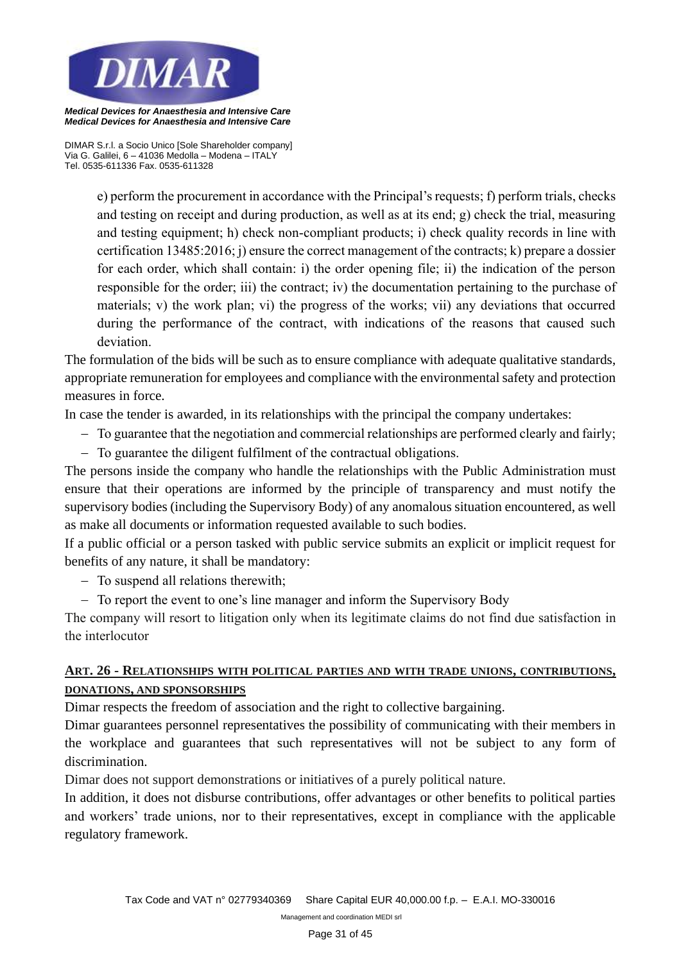

*DIMAR S.r.l. a Socio Unico [Sole Shareholder company] Via G. Galilei, 6 – 41036 Medolla – Modena – ITALY Tel. 0535-611336 Fax. 0535-611328*

> e) perform the procurement in accordance with the Principal's requests; f) perform trials, checks and testing on receipt and during production, as well as at its end; g) check the trial, measuring and testing equipment; h) check non-compliant products; i) check quality records in line with certification 13485:2016; j) ensure the correct management of the contracts; k) prepare a dossier for each order, which shall contain: i) the order opening file; ii) the indication of the person responsible for the order; iii) the contract; iv) the documentation pertaining to the purchase of materials; v) the work plan; vi) the progress of the works; vii) any deviations that occurred during the performance of the contract, with indications of the reasons that caused such deviation.

The formulation of the bids will be such as to ensure compliance with adequate qualitative standards, appropriate remuneration for employees and compliance with the environmental safety and protection measures in force.

In case the tender is awarded, in its relationships with the principal the company undertakes:

- − To guarantee that the negotiation and commercial relationships are performed clearly and fairly;
- − To guarantee the diligent fulfilment of the contractual obligations.

The persons inside the company who handle the relationships with the Public Administration must ensure that their operations are informed by the principle of transparency and must notify the supervisory bodies (including the Supervisory Body) of any anomalous situation encountered, as well as make all documents or information requested available to such bodies.

If a public official or a person tasked with public service submits an explicit or implicit request for benefits of any nature, it shall be mandatory:

− To suspend all relations therewith;

− To report the event to one's line manager and inform the Supervisory Body

The company will resort to litigation only when its legitimate claims do not find due satisfaction in the interlocutor

# **ART. 26 - RELATIONSHIPS WITH POLITICAL PARTIES AND WITH TRADE UNIONS, CONTRIBUTIONS, DONATIONS, AND SPONSORSHIPS**

Dimar respects the freedom of association and the right to collective bargaining.

Dimar guarantees personnel representatives the possibility of communicating with their members in the workplace and guarantees that such representatives will not be subject to any form of discrimination.

Dimar does not support demonstrations or initiatives of a purely political nature.

In addition, it does not disburse contributions, offer advantages or other benefits to political parties and workers' trade unions, nor to their representatives, except in compliance with the applicable regulatory framework.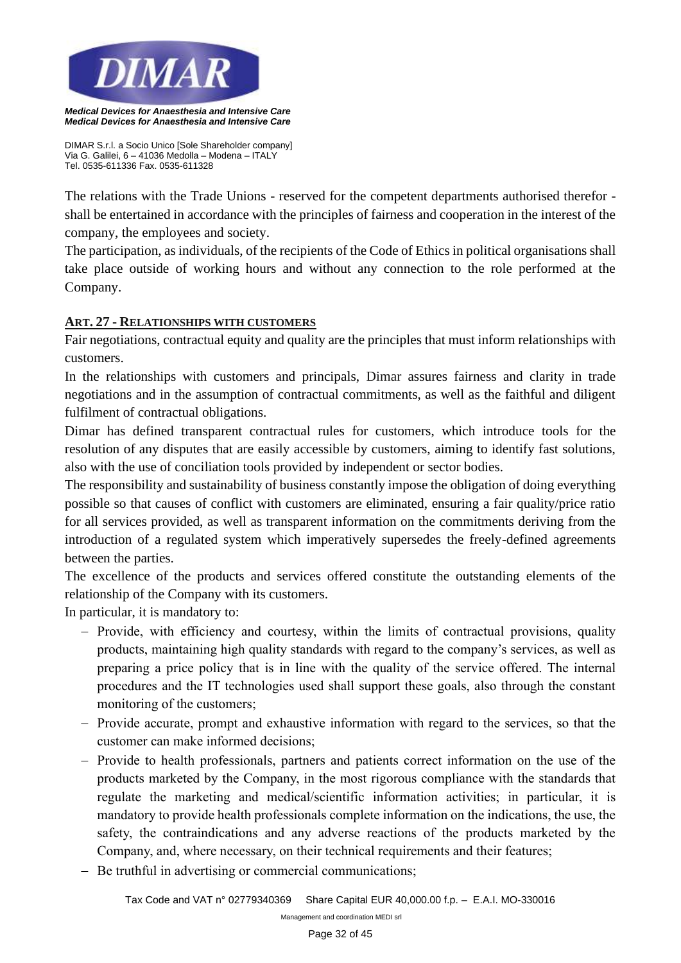

*DIMAR S.r.l. a Socio Unico [Sole Shareholder company] Via G. Galilei, 6 – 41036 Medolla – Modena – ITALY Tel. 0535-611336 Fax. 0535-611328*

The relations with the Trade Unions - reserved for the competent departments authorised therefor shall be entertained in accordance with the principles of fairness and cooperation in the interest of the company, the employees and society.

The participation, as individuals, of the recipients of the Code of Ethics in political organisations shall take place outside of working hours and without any connection to the role performed at the Company.

## **ART. 27 - RELATIONSHIPS WITH CUSTOMERS**

Fair negotiations, contractual equity and quality are the principles that must inform relationships with customers.

In the relationships with customers and principals, Dimar assures fairness and clarity in trade negotiations and in the assumption of contractual commitments, as well as the faithful and diligent fulfilment of contractual obligations.

Dimar has defined transparent contractual rules for customers, which introduce tools for the resolution of any disputes that are easily accessible by customers, aiming to identify fast solutions, also with the use of conciliation tools provided by independent or sector bodies.

The responsibility and sustainability of business constantly impose the obligation of doing everything possible so that causes of conflict with customers are eliminated, ensuring a fair quality/price ratio for all services provided, as well as transparent information on the commitments deriving from the introduction of a regulated system which imperatively supersedes the freely-defined agreements between the parties.

The excellence of the products and services offered constitute the outstanding elements of the relationship of the Company with its customers.

In particular, it is mandatory to:

- − Provide, with efficiency and courtesy, within the limits of contractual provisions, quality products, maintaining high quality standards with regard to the company's services, as well as preparing a price policy that is in line with the quality of the service offered. The internal procedures and the IT technologies used shall support these goals, also through the constant monitoring of the customers;
- − Provide accurate, prompt and exhaustive information with regard to the services, so that the customer can make informed decisions;
- − Provide to health professionals, partners and patients correct information on the use of the products marketed by the Company, in the most rigorous compliance with the standards that regulate the marketing and medical/scientific information activities; in particular, it is mandatory to provide health professionals complete information on the indications, the use, the safety, the contraindications and any adverse reactions of the products marketed by the Company, and, where necessary, on their technical requirements and their features;
- − Be truthful in advertising or commercial communications;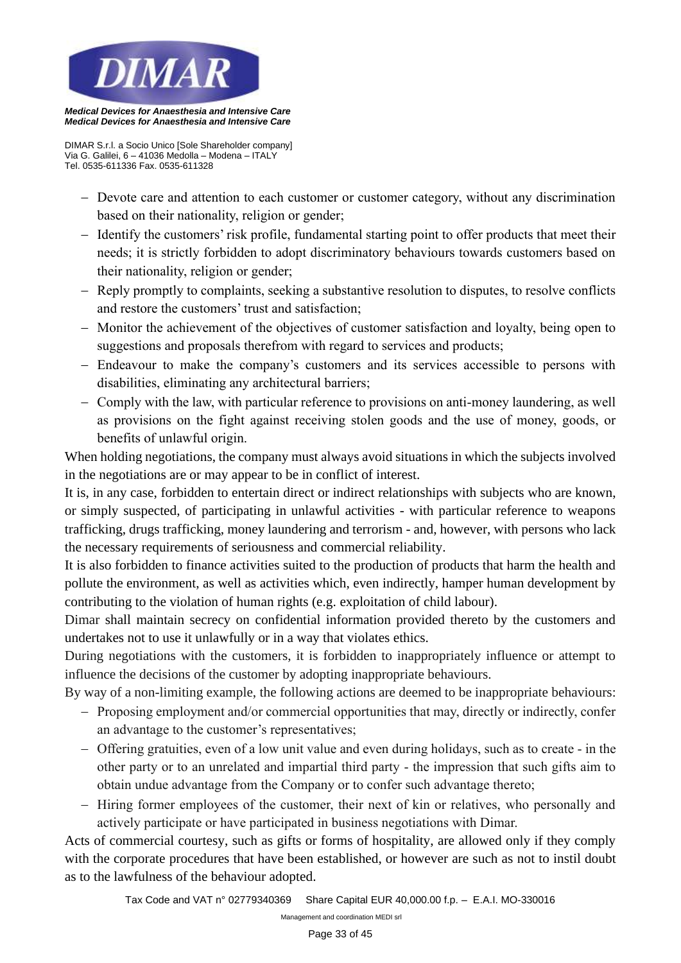

*Medical Devices for Anaesthesia and Intensive Care*

*DIMAR S.r.l. a Socio Unico [Sole Shareholder company] Via G. Galilei, 6 – 41036 Medolla – Modena – ITALY Tel. 0535-611336 Fax. 0535-611328*

- − Devote care and attention to each customer or customer category, without any discrimination based on their nationality, religion or gender;
- − Identify the customers' risk profile, fundamental starting point to offer products that meet their needs; it is strictly forbidden to adopt discriminatory behaviours towards customers based on their nationality, religion or gender;
- − Reply promptly to complaints, seeking a substantive resolution to disputes, to resolve conflicts and restore the customers' trust and satisfaction;
- − Monitor the achievement of the objectives of customer satisfaction and loyalty, being open to suggestions and proposals therefrom with regard to services and products;
- − Endeavour to make the company's customers and its services accessible to persons with disabilities, eliminating any architectural barriers;
- − Comply with the law, with particular reference to provisions on anti-money laundering, as well as provisions on the fight against receiving stolen goods and the use of money, goods, or benefits of unlawful origin.

When holding negotiations, the company must always avoid situations in which the subjects involved in the negotiations are or may appear to be in conflict of interest.

It is, in any case, forbidden to entertain direct or indirect relationships with subjects who are known, or simply suspected, of participating in unlawful activities - with particular reference to weapons trafficking, drugs trafficking, money laundering and terrorism - and, however, with persons who lack the necessary requirements of seriousness and commercial reliability.

It is also forbidden to finance activities suited to the production of products that harm the health and pollute the environment, as well as activities which, even indirectly, hamper human development by contributing to the violation of human rights (e.g. exploitation of child labour).

Dimar shall maintain secrecy on confidential information provided thereto by the customers and undertakes not to use it unlawfully or in a way that violates ethics.

During negotiations with the customers, it is forbidden to inappropriately influence or attempt to influence the decisions of the customer by adopting inappropriate behaviours.

By way of a non-limiting example, the following actions are deemed to be inappropriate behaviours:

- − Proposing employment and/or commercial opportunities that may, directly or indirectly, confer an advantage to the customer's representatives;
- − Offering gratuities, even of a low unit value and even during holidays, such as to create in the other party or to an unrelated and impartial third party - the impression that such gifts aim to obtain undue advantage from the Company or to confer such advantage thereto;
- − Hiring former employees of the customer, their next of kin or relatives, who personally and actively participate or have participated in business negotiations with Dimar.

Acts of commercial courtesy, such as gifts or forms of hospitality, are allowed only if they comply with the corporate procedures that have been established, or however are such as not to instil doubt as to the lawfulness of the behaviour adopted.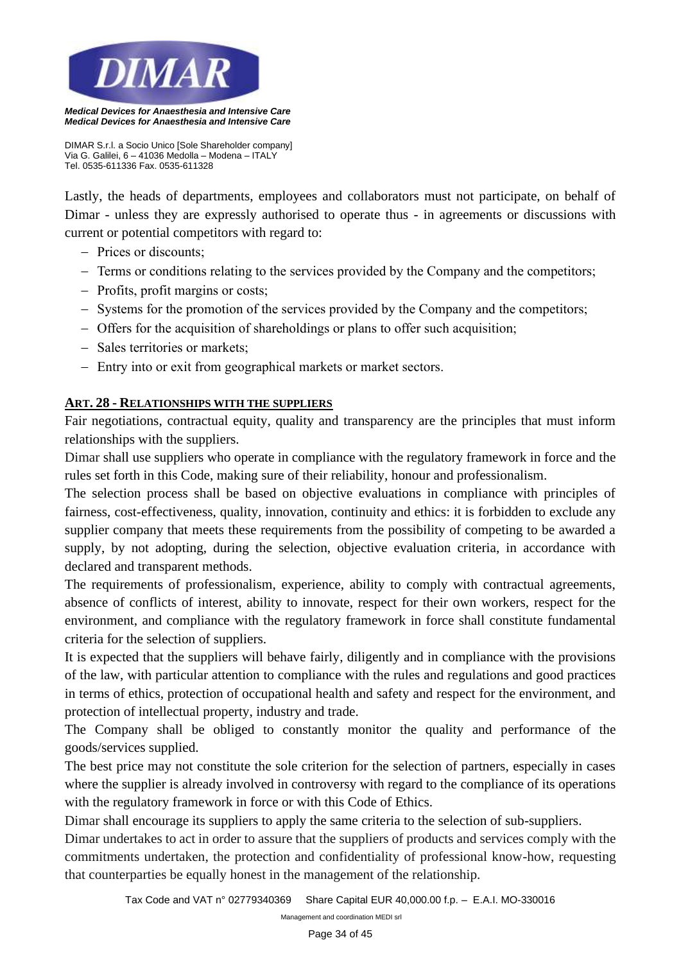

*DIMAR S.r.l. a Socio Unico [Sole Shareholder company] Via G. Galilei, 6 – 41036 Medolla – Modena – ITALY Tel. 0535-611336 Fax. 0535-611328*

Lastly, the heads of departments, employees and collaborators must not participate, on behalf of Dimar - unless they are expressly authorised to operate thus - in agreements or discussions with current or potential competitors with regard to:

- − Prices or discounts;
- − Terms or conditions relating to the services provided by the Company and the competitors;
- − Profits, profit margins or costs;
- − Systems for the promotion of the services provided by the Company and the competitors;
- − Offers for the acquisition of shareholdings or plans to offer such acquisition;
- − Sales territories or markets;
- − Entry into or exit from geographical markets or market sectors.

## **ART. 28 - RELATIONSHIPS WITH THE SUPPLIERS**

Fair negotiations, contractual equity, quality and transparency are the principles that must inform relationships with the suppliers.

Dimar shall use suppliers who operate in compliance with the regulatory framework in force and the rules set forth in this Code, making sure of their reliability, honour and professionalism.

The selection process shall be based on objective evaluations in compliance with principles of fairness, cost-effectiveness, quality, innovation, continuity and ethics: it is forbidden to exclude any supplier company that meets these requirements from the possibility of competing to be awarded a supply, by not adopting, during the selection, objective evaluation criteria, in accordance with declared and transparent methods.

The requirements of professionalism, experience, ability to comply with contractual agreements, absence of conflicts of interest, ability to innovate, respect for their own workers, respect for the environment, and compliance with the regulatory framework in force shall constitute fundamental criteria for the selection of suppliers.

It is expected that the suppliers will behave fairly, diligently and in compliance with the provisions of the law, with particular attention to compliance with the rules and regulations and good practices in terms of ethics, protection of occupational health and safety and respect for the environment, and protection of intellectual property, industry and trade.

The Company shall be obliged to constantly monitor the quality and performance of the goods/services supplied.

The best price may not constitute the sole criterion for the selection of partners, especially in cases where the supplier is already involved in controversy with regard to the compliance of its operations with the regulatory framework in force or with this Code of Ethics.

Dimar shall encourage its suppliers to apply the same criteria to the selection of sub-suppliers.

Dimar undertakes to act in order to assure that the suppliers of products and services comply with the commitments undertaken, the protection and confidentiality of professional know-how, requesting that counterparties be equally honest in the management of the relationship.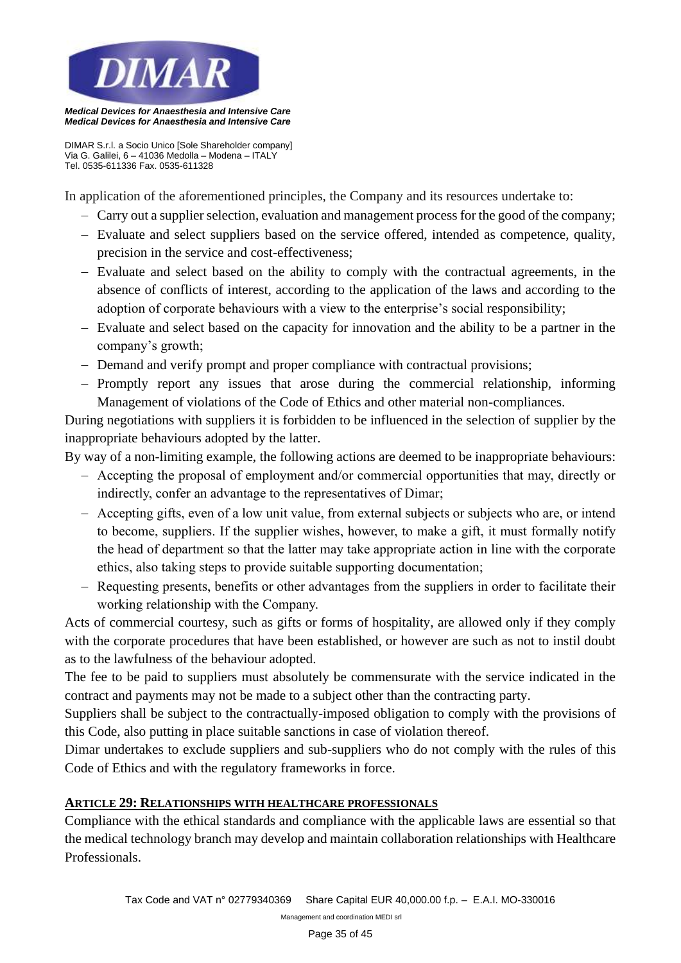

*Medical Devices for Anaesthesia and Intensive Care*

*DIMAR S.r.l. a Socio Unico [Sole Shareholder company] Via G. Galilei, 6 – 41036 Medolla – Modena – ITALY Tel. 0535-611336 Fax. 0535-611328*

In application of the aforementioned principles, the Company and its resources undertake to:

- − Carry out a supplier selection, evaluation and management process for the good of the company;
- − Evaluate and select suppliers based on the service offered, intended as competence, quality, precision in the service and cost-effectiveness;
- − Evaluate and select based on the ability to comply with the contractual agreements, in the absence of conflicts of interest, according to the application of the laws and according to the adoption of corporate behaviours with a view to the enterprise's social responsibility;
- − Evaluate and select based on the capacity for innovation and the ability to be a partner in the company's growth;
- − Demand and verify prompt and proper compliance with contractual provisions;
- − Promptly report any issues that arose during the commercial relationship, informing Management of violations of the Code of Ethics and other material non-compliances.

During negotiations with suppliers it is forbidden to be influenced in the selection of supplier by the inappropriate behaviours adopted by the latter.

By way of a non-limiting example, the following actions are deemed to be inappropriate behaviours:

- − Accepting the proposal of employment and/or commercial opportunities that may, directly or indirectly, confer an advantage to the representatives of Dimar;
- − Accepting gifts, even of a low unit value, from external subjects or subjects who are, or intend to become, suppliers. If the supplier wishes, however, to make a gift, it must formally notify the head of department so that the latter may take appropriate action in line with the corporate ethics, also taking steps to provide suitable supporting documentation;
- − Requesting presents, benefits or other advantages from the suppliers in order to facilitate their working relationship with the Company.

Acts of commercial courtesy, such as gifts or forms of hospitality, are allowed only if they comply with the corporate procedures that have been established, or however are such as not to instil doubt as to the lawfulness of the behaviour adopted.

The fee to be paid to suppliers must absolutely be commensurate with the service indicated in the contract and payments may not be made to a subject other than the contracting party.

Suppliers shall be subject to the contractually-imposed obligation to comply with the provisions of this Code, also putting in place suitable sanctions in case of violation thereof.

Dimar undertakes to exclude suppliers and sub-suppliers who do not comply with the rules of this Code of Ethics and with the regulatory frameworks in force.

## **ARTICLE 29: RELATIONSHIPS WITH HEALTHCARE PROFESSIONALS**

Compliance with the ethical standards and compliance with the applicable laws are essential so that the medical technology branch may develop and maintain collaboration relationships with Healthcare Professionals.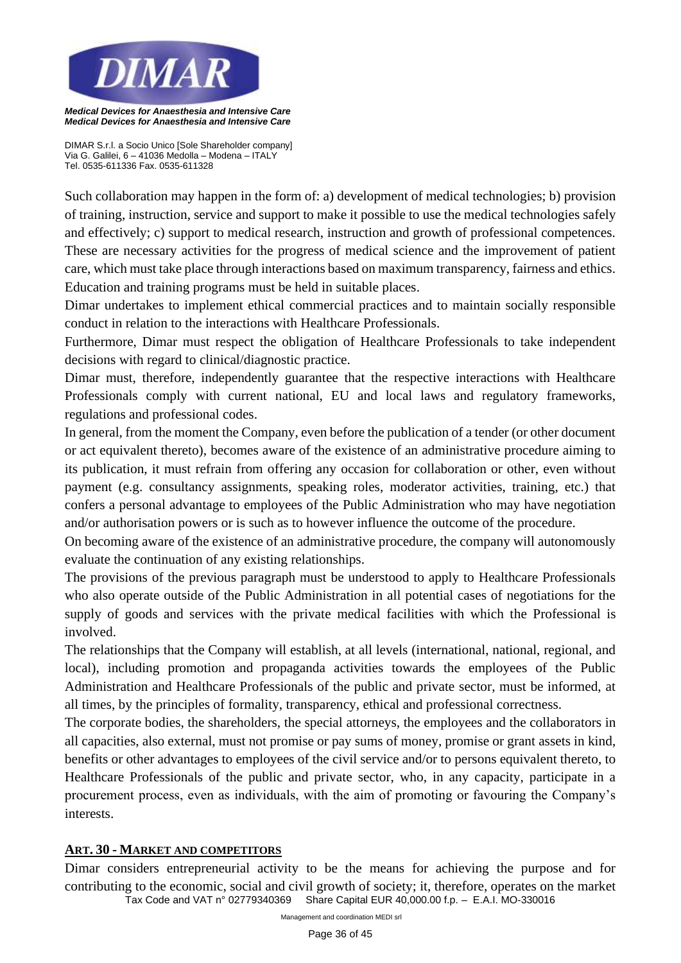

*DIMAR S.r.l. a Socio Unico [Sole Shareholder company] Via G. Galilei, 6 – 41036 Medolla – Modena – ITALY Tel. 0535-611336 Fax. 0535-611328*

Such collaboration may happen in the form of: a) development of medical technologies; b) provision of training, instruction, service and support to make it possible to use the medical technologies safely and effectively; c) support to medical research, instruction and growth of professional competences. These are necessary activities for the progress of medical science and the improvement of patient care, which must take place through interactions based on maximum transparency, fairness and ethics. Education and training programs must be held in suitable places.

Dimar undertakes to implement ethical commercial practices and to maintain socially responsible conduct in relation to the interactions with Healthcare Professionals.

Furthermore, Dimar must respect the obligation of Healthcare Professionals to take independent decisions with regard to clinical/diagnostic practice.

Dimar must, therefore, independently guarantee that the respective interactions with Healthcare Professionals comply with current national, EU and local laws and regulatory frameworks, regulations and professional codes.

In general, from the moment the Company, even before the publication of a tender (or other document or act equivalent thereto), becomes aware of the existence of an administrative procedure aiming to its publication, it must refrain from offering any occasion for collaboration or other, even without payment (e.g. consultancy assignments, speaking roles, moderator activities, training, etc.) that confers a personal advantage to employees of the Public Administration who may have negotiation and/or authorisation powers or is such as to however influence the outcome of the procedure.

On becoming aware of the existence of an administrative procedure, the company will autonomously evaluate the continuation of any existing relationships.

The provisions of the previous paragraph must be understood to apply to Healthcare Professionals who also operate outside of the Public Administration in all potential cases of negotiations for the supply of goods and services with the private medical facilities with which the Professional is involved.

The relationships that the Company will establish, at all levels (international, national, regional, and local), including promotion and propaganda activities towards the employees of the Public Administration and Healthcare Professionals of the public and private sector, must be informed, at all times, by the principles of formality, transparency, ethical and professional correctness.

The corporate bodies, the shareholders, the special attorneys, the employees and the collaborators in all capacities, also external, must not promise or pay sums of money, promise or grant assets in kind, benefits or other advantages to employees of the civil service and/or to persons equivalent thereto, to Healthcare Professionals of the public and private sector, who, in any capacity, participate in a procurement process, even as individuals, with the aim of promoting or favouring the Company's interests.

## **ART. 30 - MARKET AND COMPETITORS**

*Tax Code and VAT n° 02779340369 Share Capital EUR 40,000.00 f.p. – E.A.I. MO-330016*  Dimar considers entrepreneurial activity to be the means for achieving the purpose and for contributing to the economic, social and civil growth of society; it, therefore, operates on the market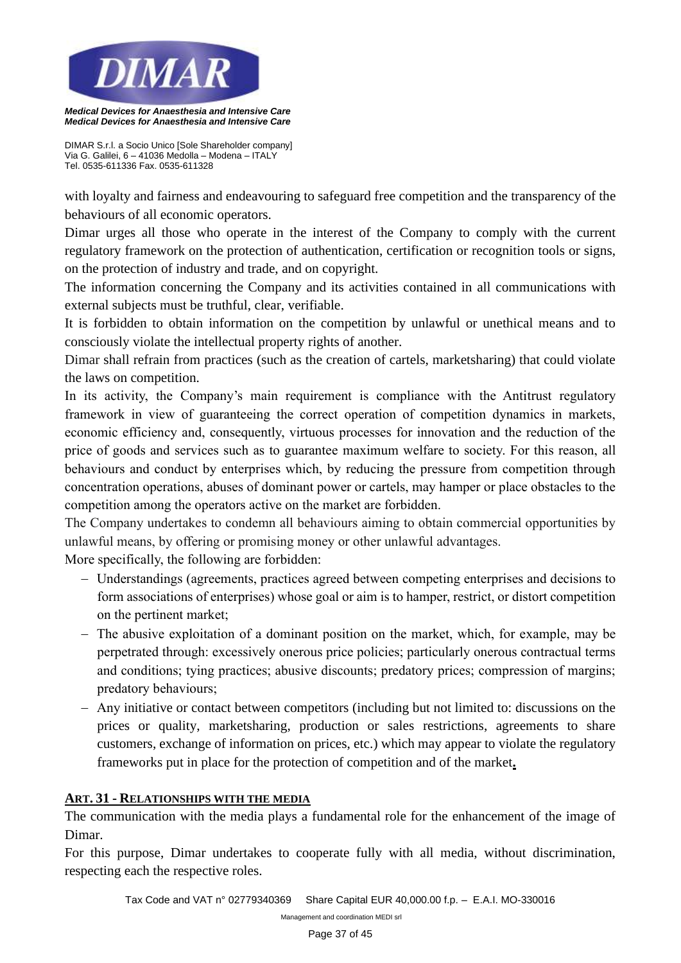

*DIMAR S.r.l. a Socio Unico [Sole Shareholder company] Via G. Galilei, 6 – 41036 Medolla – Modena – ITALY Tel. 0535-611336 Fax. 0535-611328*

with loyalty and fairness and endeavouring to safeguard free competition and the transparency of the behaviours of all economic operators.

Dimar urges all those who operate in the interest of the Company to comply with the current regulatory framework on the protection of authentication, certification or recognition tools or signs, on the protection of industry and trade, and on copyright.

The information concerning the Company and its activities contained in all communications with external subjects must be truthful, clear, verifiable.

It is forbidden to obtain information on the competition by unlawful or unethical means and to consciously violate the intellectual property rights of another.

Dimar shall refrain from practices (such as the creation of cartels, marketsharing) that could violate the laws on competition.

In its activity, the Company's main requirement is compliance with the Antitrust regulatory framework in view of guaranteeing the correct operation of competition dynamics in markets, economic efficiency and, consequently, virtuous processes for innovation and the reduction of the price of goods and services such as to guarantee maximum welfare to society. For this reason, all behaviours and conduct by enterprises which, by reducing the pressure from competition through concentration operations, abuses of dominant power or cartels, may hamper or place obstacles to the competition among the operators active on the market are forbidden.

The Company undertakes to condemn all behaviours aiming to obtain commercial opportunities by unlawful means, by offering or promising money or other unlawful advantages.

More specifically, the following are forbidden:

- − Understandings (agreements, practices agreed between competing enterprises and decisions to form associations of enterprises) whose goal or aim is to hamper, restrict, or distort competition on the pertinent market;
- − The abusive exploitation of a dominant position on the market, which, for example, may be perpetrated through: excessively onerous price policies; particularly onerous contractual terms and conditions; tying practices; abusive discounts; predatory prices; compression of margins; predatory behaviours;
- − Any initiative or contact between competitors (including but not limited to: discussions on the prices or quality, marketsharing, production or sales restrictions, agreements to share customers, exchange of information on prices, etc.) which may appear to violate the regulatory frameworks put in place for the protection of competition and of the market**.**

# **ART. 31 - RELATIONSHIPS WITH THE MEDIA**

The communication with the media plays a fundamental role for the enhancement of the image of Dimar.

For this purpose, Dimar undertakes to cooperate fully with all media, without discrimination, respecting each the respective roles.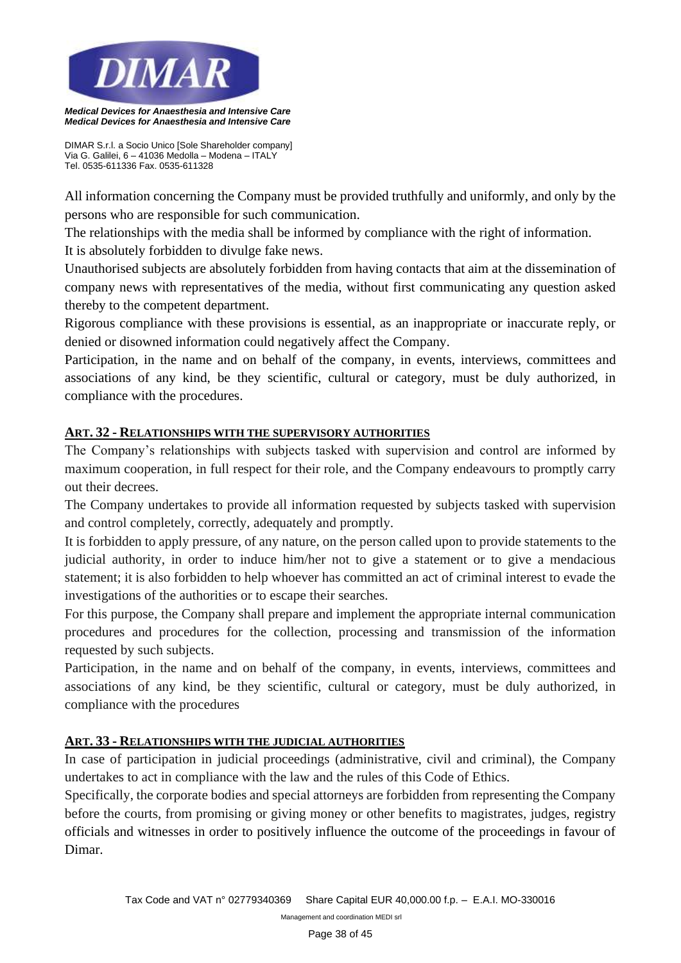

*DIMAR S.r.l. a Socio Unico [Sole Shareholder company] Via G. Galilei, 6 – 41036 Medolla – Modena – ITALY Tel. 0535-611336 Fax. 0535-611328*

All information concerning the Company must be provided truthfully and uniformly, and only by the persons who are responsible for such communication.

The relationships with the media shall be informed by compliance with the right of information.

It is absolutely forbidden to divulge fake news.

Unauthorised subjects are absolutely forbidden from having contacts that aim at the dissemination of company news with representatives of the media, without first communicating any question asked thereby to the competent department.

Rigorous compliance with these provisions is essential, as an inappropriate or inaccurate reply, or denied or disowned information could negatively affect the Company.

Participation, in the name and on behalf of the company, in events, interviews, committees and associations of any kind, be they scientific, cultural or category, must be duly authorized, in compliance with the procedures.

# **ART. 32 - RELATIONSHIPS WITH THE SUPERVISORY AUTHORITIES**

The Company's relationships with subjects tasked with supervision and control are informed by maximum cooperation, in full respect for their role, and the Company endeavours to promptly carry out their decrees.

The Company undertakes to provide all information requested by subjects tasked with supervision and control completely, correctly, adequately and promptly.

It is forbidden to apply pressure, of any nature, on the person called upon to provide statements to the judicial authority, in order to induce him/her not to give a statement or to give a mendacious statement; it is also forbidden to help whoever has committed an act of criminal interest to evade the investigations of the authorities or to escape their searches.

For this purpose, the Company shall prepare and implement the appropriate internal communication procedures and procedures for the collection, processing and transmission of the information requested by such subjects.

Participation, in the name and on behalf of the company, in events, interviews, committees and associations of any kind, be they scientific, cultural or category, must be duly authorized, in compliance with the procedures

## **ART. 33 - RELATIONSHIPS WITH THE JUDICIAL AUTHORITIES**

In case of participation in judicial proceedings (administrative, civil and criminal), the Company undertakes to act in compliance with the law and the rules of this Code of Ethics.

Specifically, the corporate bodies and special attorneys are forbidden from representing the Company before the courts, from promising or giving money or other benefits to magistrates, judges, registry officials and witnesses in order to positively influence the outcome of the proceedings in favour of Dimar.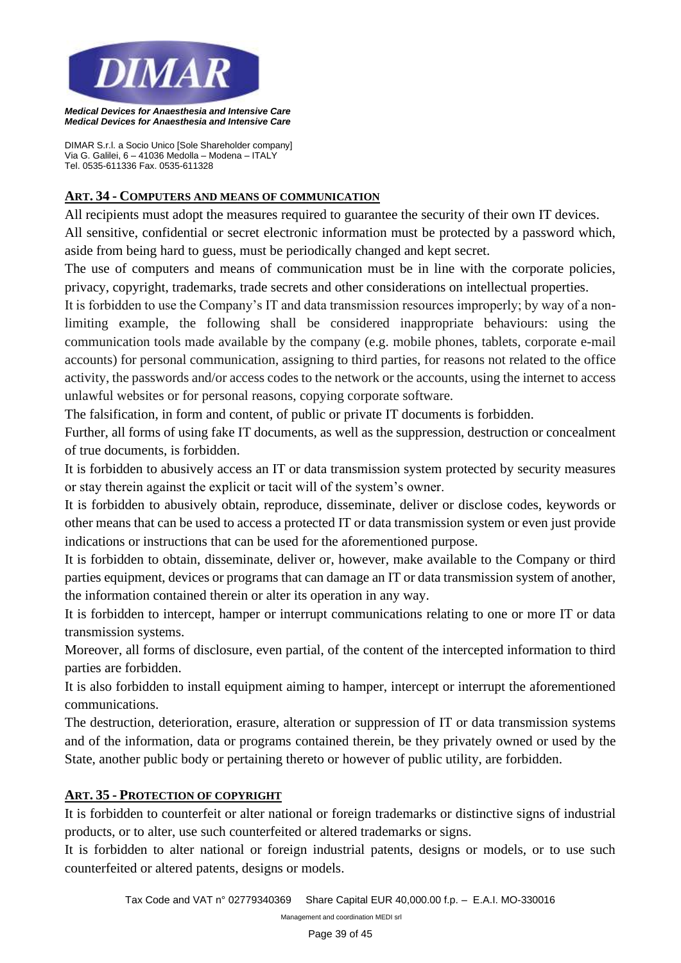

*DIMAR S.r.l. a Socio Unico [Sole Shareholder company] Via G. Galilei, 6 – 41036 Medolla – Modena – ITALY Tel. 0535-611336 Fax. 0535-611328*

#### **ART. 34 - COMPUTERS AND MEANS OF COMMUNICATION**

All recipients must adopt the measures required to guarantee the security of their own IT devices. All sensitive, confidential or secret electronic information must be protected by a password which, aside from being hard to guess, must be periodically changed and kept secret.

The use of computers and means of communication must be in line with the corporate policies, privacy, copyright, trademarks, trade secrets and other considerations on intellectual properties.

It is forbidden to use the Company's IT and data transmission resources improperly; by way of a nonlimiting example, the following shall be considered inappropriate behaviours: using the communication tools made available by the company (e.g. mobile phones, tablets, corporate e-mail accounts) for personal communication, assigning to third parties, for reasons not related to the office activity, the passwords and/or access codes to the network or the accounts, using the internet to access unlawful websites or for personal reasons, copying corporate software.

The falsification, in form and content, of public or private IT documents is forbidden.

Further, all forms of using fake IT documents, as well as the suppression, destruction or concealment of true documents, is forbidden.

It is forbidden to abusively access an IT or data transmission system protected by security measures or stay therein against the explicit or tacit will of the system's owner.

It is forbidden to abusively obtain, reproduce, disseminate, deliver or disclose codes, keywords or other means that can be used to access a protected IT or data transmission system or even just provide indications or instructions that can be used for the aforementioned purpose.

It is forbidden to obtain, disseminate, deliver or, however, make available to the Company or third parties equipment, devices or programs that can damage an IT or data transmission system of another, the information contained therein or alter its operation in any way.

It is forbidden to intercept, hamper or interrupt communications relating to one or more IT or data transmission systems.

Moreover, all forms of disclosure, even partial, of the content of the intercepted information to third parties are forbidden.

It is also forbidden to install equipment aiming to hamper, intercept or interrupt the aforementioned communications.

The destruction, deterioration, erasure, alteration or suppression of IT or data transmission systems and of the information, data or programs contained therein, be they privately owned or used by the State, another public body or pertaining thereto or however of public utility, are forbidden.

## **ART. 35 - PROTECTION OF COPYRIGHT**

It is forbidden to counterfeit or alter national or foreign trademarks or distinctive signs of industrial products, or to alter, use such counterfeited or altered trademarks or signs.

It is forbidden to alter national or foreign industrial patents, designs or models, or to use such counterfeited or altered patents, designs or models.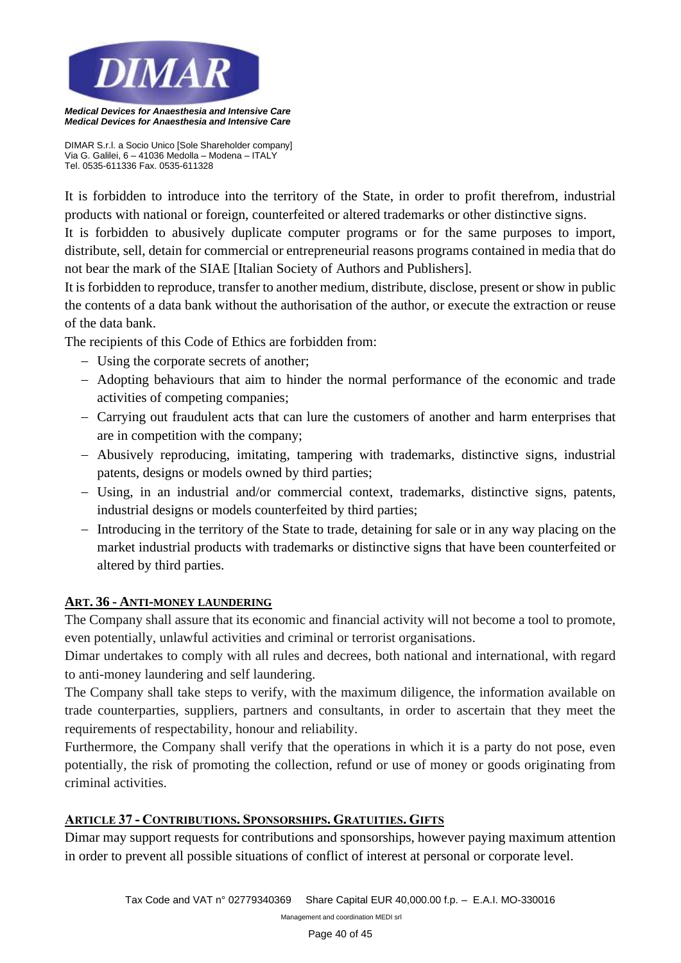

*DIMAR S.r.l. a Socio Unico [Sole Shareholder company] Via G. Galilei, 6 – 41036 Medolla – Modena – ITALY Tel. 0535-611336 Fax. 0535-611328*

It is forbidden to introduce into the territory of the State, in order to profit therefrom, industrial products with national or foreign, counterfeited or altered trademarks or other distinctive signs.

It is forbidden to abusively duplicate computer programs or for the same purposes to import, distribute, sell, detain for commercial or entrepreneurial reasons programs contained in media that do not bear the mark of the SIAE [Italian Society of Authors and Publishers].

It is forbidden to reproduce, transfer to another medium, distribute, disclose, present or show in public the contents of a data bank without the authorisation of the author, or execute the extraction or reuse of the data bank.

The recipients of this Code of Ethics are forbidden from:

- − Using the corporate secrets of another;
- − Adopting behaviours that aim to hinder the normal performance of the economic and trade activities of competing companies;
- − Carrying out fraudulent acts that can lure the customers of another and harm enterprises that are in competition with the company;
- − Abusively reproducing, imitating, tampering with trademarks, distinctive signs, industrial patents, designs or models owned by third parties;
- − Using, in an industrial and/or commercial context, trademarks, distinctive signs, patents, industrial designs or models counterfeited by third parties;
- − Introducing in the territory of the State to trade, detaining for sale or in any way placing on the market industrial products with trademarks or distinctive signs that have been counterfeited or altered by third parties.

## **ART. 36 - ANTI-MONEY LAUNDERING**

The Company shall assure that its economic and financial activity will not become a tool to promote, even potentially, unlawful activities and criminal or terrorist organisations.

Dimar undertakes to comply with all rules and decrees, both national and international, with regard to anti-money laundering and self laundering.

The Company shall take steps to verify, with the maximum diligence, the information available on trade counterparties, suppliers, partners and consultants, in order to ascertain that they meet the requirements of respectability, honour and reliability.

Furthermore, the Company shall verify that the operations in which it is a party do not pose, even potentially, the risk of promoting the collection, refund or use of money or goods originating from criminal activities.

# **ARTICLE 37 - CONTRIBUTIONS. SPONSORSHIPS. GRATUITIES. GIFTS**

Dimar may support requests for contributions and sponsorships, however paying maximum attention in order to prevent all possible situations of conflict of interest at personal or corporate level.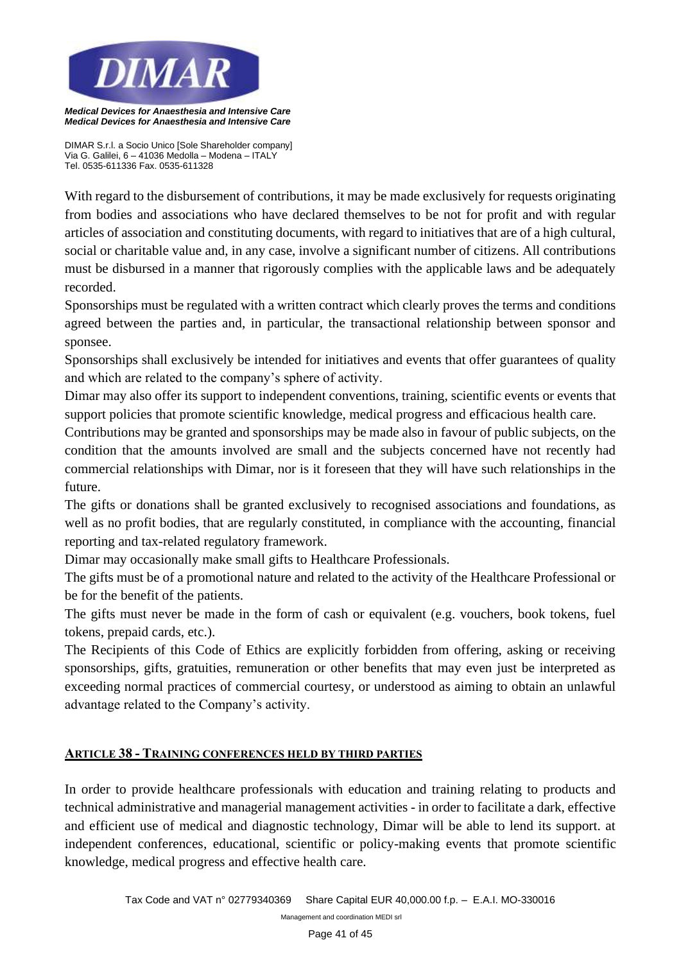

*DIMAR S.r.l. a Socio Unico [Sole Shareholder company] Via G. Galilei, 6 – 41036 Medolla – Modena – ITALY Tel. 0535-611336 Fax. 0535-611328*

With regard to the disbursement of contributions, it may be made exclusively for requests originating from bodies and associations who have declared themselves to be not for profit and with regular articles of association and constituting documents, with regard to initiatives that are of a high cultural, social or charitable value and, in any case, involve a significant number of citizens. All contributions must be disbursed in a manner that rigorously complies with the applicable laws and be adequately recorded.

Sponsorships must be regulated with a written contract which clearly proves the terms and conditions agreed between the parties and, in particular, the transactional relationship between sponsor and sponsee.

Sponsorships shall exclusively be intended for initiatives and events that offer guarantees of quality and which are related to the company's sphere of activity.

Dimar may also offer its support to independent conventions, training, scientific events or events that support policies that promote scientific knowledge, medical progress and efficacious health care.

Contributions may be granted and sponsorships may be made also in favour of public subjects, on the condition that the amounts involved are small and the subjects concerned have not recently had commercial relationships with Dimar, nor is it foreseen that they will have such relationships in the future.

The gifts or donations shall be granted exclusively to recognised associations and foundations, as well as no profit bodies, that are regularly constituted, in compliance with the accounting, financial reporting and tax-related regulatory framework.

Dimar may occasionally make small gifts to Healthcare Professionals.

The gifts must be of a promotional nature and related to the activity of the Healthcare Professional or be for the benefit of the patients.

The gifts must never be made in the form of cash or equivalent (e.g. vouchers, book tokens, fuel tokens, prepaid cards, etc.).

The Recipients of this Code of Ethics are explicitly forbidden from offering, asking or receiving sponsorships, gifts, gratuities, remuneration or other benefits that may even just be interpreted as exceeding normal practices of commercial courtesy, or understood as aiming to obtain an unlawful advantage related to the Company's activity.

# **ARTICLE 38 - TRAINING CONFERENCES HELD BY THIRD PARTIES**

In order to provide healthcare professionals with education and training relating to products and technical administrative and managerial management activities - in order to facilitate a dark, effective and efficient use of medical and diagnostic technology, Dimar will be able to lend its support. at independent conferences, educational, scientific or policy-making events that promote scientific knowledge, medical progress and effective health care.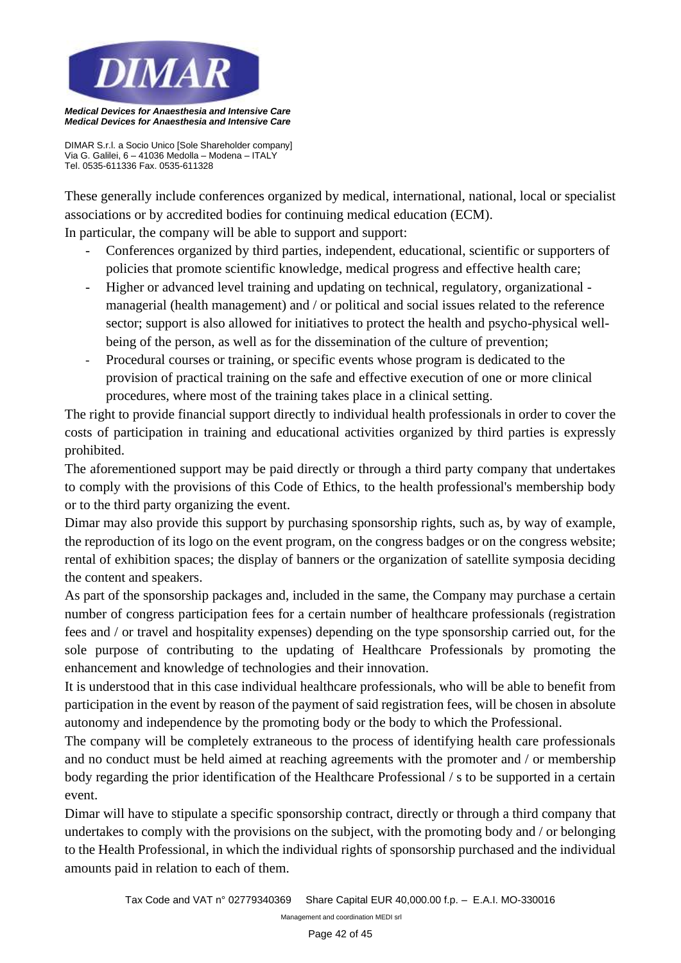

*DIMAR S.r.l. a Socio Unico [Sole Shareholder company] Via G. Galilei, 6 – 41036 Medolla – Modena – ITALY Tel. 0535-611336 Fax. 0535-611328*

These generally include conferences organized by medical, international, national, local or specialist associations or by accredited bodies for continuing medical education (ECM).

In particular, the company will be able to support and support:

- Conferences organized by third parties, independent, educational, scientific or supporters of policies that promote scientific knowledge, medical progress and effective health care;
- Higher or advanced level training and updating on technical, regulatory, organizational managerial (health management) and / or political and social issues related to the reference sector; support is also allowed for initiatives to protect the health and psycho-physical wellbeing of the person, as well as for the dissemination of the culture of prevention;
- Procedural courses or training, or specific events whose program is dedicated to the provision of practical training on the safe and effective execution of one or more clinical procedures, where most of the training takes place in a clinical setting.

The right to provide financial support directly to individual health professionals in order to cover the costs of participation in training and educational activities organized by third parties is expressly prohibited.

The aforementioned support may be paid directly or through a third party company that undertakes to comply with the provisions of this Code of Ethics, to the health professional's membership body or to the third party organizing the event.

Dimar may also provide this support by purchasing sponsorship rights, such as, by way of example, the reproduction of its logo on the event program, on the congress badges or on the congress website; rental of exhibition spaces; the display of banners or the organization of satellite symposia deciding the content and speakers.

As part of the sponsorship packages and, included in the same, the Company may purchase a certain number of congress participation fees for a certain number of healthcare professionals (registration fees and / or travel and hospitality expenses) depending on the type sponsorship carried out, for the sole purpose of contributing to the updating of Healthcare Professionals by promoting the enhancement and knowledge of technologies and their innovation.

It is understood that in this case individual healthcare professionals, who will be able to benefit from participation in the event by reason of the payment of said registration fees, will be chosen in absolute autonomy and independence by the promoting body or the body to which the Professional.

The company will be completely extraneous to the process of identifying health care professionals and no conduct must be held aimed at reaching agreements with the promoter and / or membership body regarding the prior identification of the Healthcare Professional / s to be supported in a certain event.

Dimar will have to stipulate a specific sponsorship contract, directly or through a third company that undertakes to comply with the provisions on the subject, with the promoting body and / or belonging to the Health Professional, in which the individual rights of sponsorship purchased and the individual amounts paid in relation to each of them.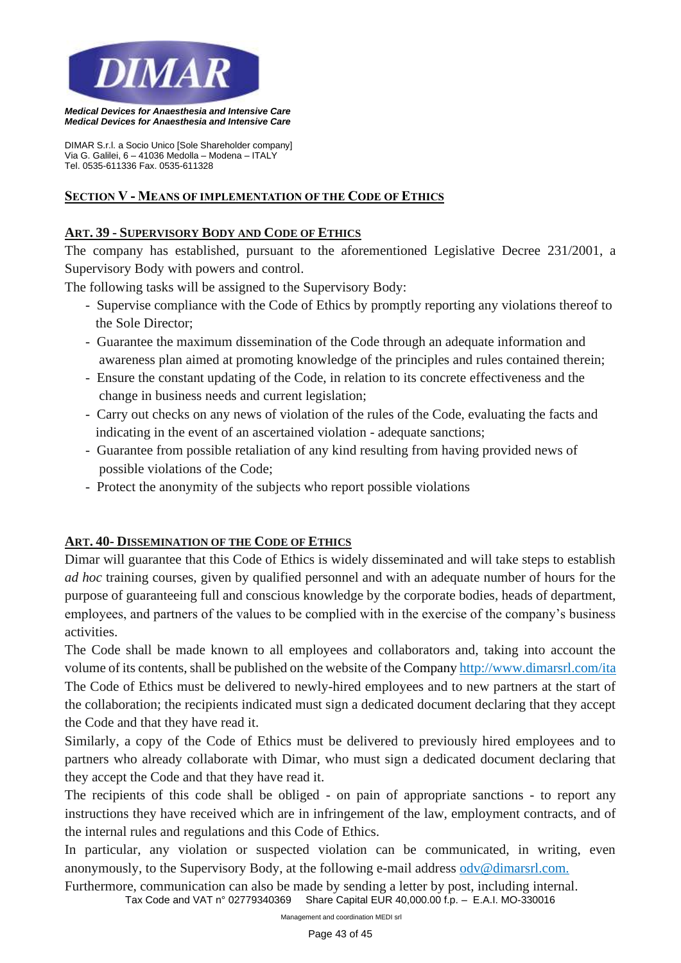

*DIMAR S.r.l. a Socio Unico [Sole Shareholder company] Via G. Galilei, 6 – 41036 Medolla – Modena – ITALY Tel. 0535-611336 Fax. 0535-611328*

#### **SECTION V - MEANS OF IMPLEMENTATION OF THE CODE OF ETHICS**

#### **ART. 39 - SUPERVISORY BODY AND CODE OF ETHICS**

The company has established, pursuant to the aforementioned Legislative Decree 231/2001, a Supervisory Body with powers and control.

The following tasks will be assigned to the Supervisory Body:

- Supervise compliance with the Code of Ethics by promptly reporting any violations thereof to the Sole Director;
- Guarantee the maximum dissemination of the Code through an adequate information and awareness plan aimed at promoting knowledge of the principles and rules contained therein;
- Ensure the constant updating of the Code, in relation to its concrete effectiveness and the change in business needs and current legislation;
- Carry out checks on any news of violation of the rules of the Code, evaluating the facts and indicating in the event of an ascertained violation - adequate sanctions;
- Guarantee from possible retaliation of any kind resulting from having provided news of possible violations of the Code;
- Protect the anonymity of the subjects who report possible violations

## **ART. 40- DISSEMINATION OF THE CODE OF ETHICS**

Dimar will guarantee that this Code of Ethics is widely disseminated and will take steps to establish *ad hoc* training courses, given by qualified personnel and with an adequate number of hours for the purpose of guaranteeing full and conscious knowledge by the corporate bodies, heads of department, employees, and partners of the values to be complied with in the exercise of the company's business activities.

The Code shall be made known to all employees and collaborators and, taking into account the volume of its contents, shall be published on the website of the Company http://www[.dimarsrl.](http://www.dimarsrl.com/)com/ita The Code of Ethics must be delivered to newly-hired employees and to new partners at the start of the collaboration; the recipients indicated must sign a dedicated document declaring that they accept the Code and that they have read it.

Similarly, a copy of the Code of Ethics must be delivered to previously hired employees and to partners who already collaborate with Dimar, who must sign a dedicated document declaring that they accept the Code and that they have read it.

The recipients of this code shall be obliged - on pain of appropriate sanctions - to report any instructions they have received which are in infringement of the law, employment contracts, and of the internal rules and regulations and this Code of Ethics.

In particular, any violation or suspected violation can be communicated, in writing, even anonymously, to the Supervisory Body, at the following e-mail address odv@dimarsrl.com.

*Tax Code and VAT n° 02779340369 Share Capital EUR 40,000.00 f.p. – E.A.I. MO-330016*  Furthermore, communication can also be made by sending a letter by post, including internal.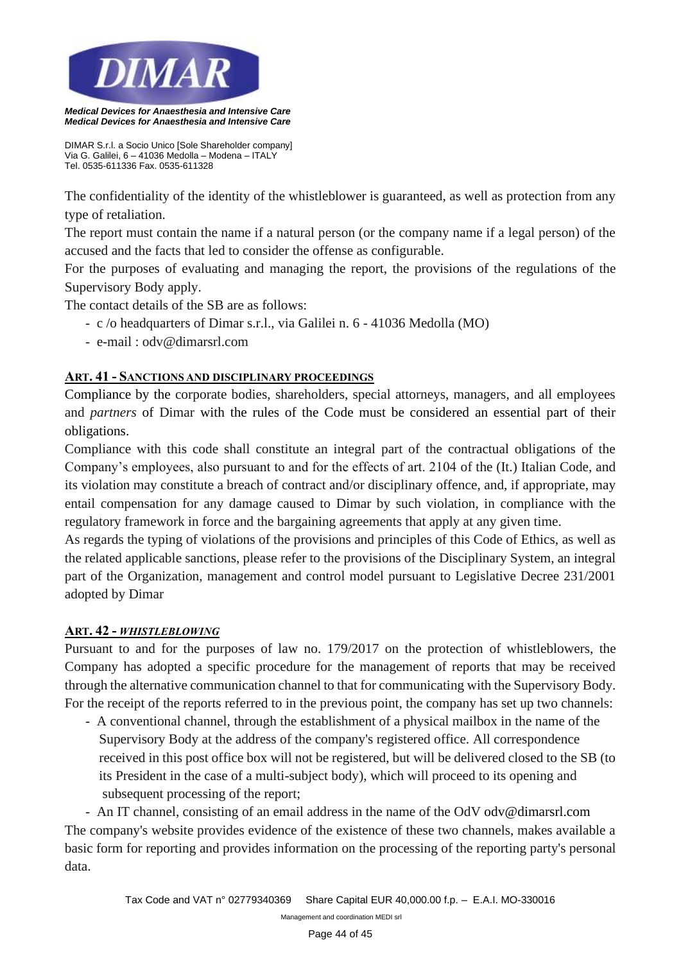

*DIMAR S.r.l. a Socio Unico [Sole Shareholder company] Via G. Galilei, 6 – 41036 Medolla – Modena – ITALY Tel. 0535-611336 Fax. 0535-611328*

The confidentiality of the identity of the whistleblower is guaranteed, as well as protection from any type of retaliation.

The report must contain the name if a natural person (or the company name if a legal person) of the accused and the facts that led to consider the offense as configurable.

For the purposes of evaluating and managing the report, the provisions of the regulations of the Supervisory Body apply.

The contact details of the SB are as follows:

- c /o headquarters of Dimar s.r.l., via Galilei n. 6 41036 Medolla (MO)
- e-mail : odv@dimarsrl.com

## **ART. 41 - SANCTIONS AND DISCIPLINARY PROCEEDINGS**

Compliance by the corporate bodies, shareholders, special attorneys, managers, and all employees and *partners* of Dimar with the rules of the Code must be considered an essential part of their obligations.

Compliance with this code shall constitute an integral part of the contractual obligations of the Company's employees, also pursuant to and for the effects of art. 2104 of the (It.) Italian Code, and its violation may constitute a breach of contract and/or disciplinary offence, and, if appropriate, may entail compensation for any damage caused to Dimar by such violation, in compliance with the regulatory framework in force and the bargaining agreements that apply at any given time.

As regards the typing of violations of the provisions and principles of this Code of Ethics, as well as the related applicable sanctions, please refer to the provisions of the Disciplinary System, an integral part of the Organization, management and control model pursuant to Legislative Decree 231/2001 adopted by Dimar

## **ART. 42 -** *WHISTLEBLOWING*

Pursuant to and for the purposes of law no. 179/2017 on the protection of whistleblowers, the Company has adopted a specific procedure for the management of reports that may be received through the alternative communication channel to that for communicating with the Supervisory Body. For the receipt of the reports referred to in the previous point, the company has set up two channels:

- A conventional channel, through the establishment of a physical mailbox in the name of the Supervisory Body at the address of the company's registered office. All correspondence received in this post office box will not be registered, but will be delivered closed to the SB (to its President in the case of a multi-subject body), which will proceed to its opening and subsequent processing of the report;

- An IT channel, consisting of an email address in the name of the OdV odv@dimarsrl.com The company's website provides evidence of the existence of these two channels, makes available a basic form for reporting and provides information on the processing of the reporting party's personal data.